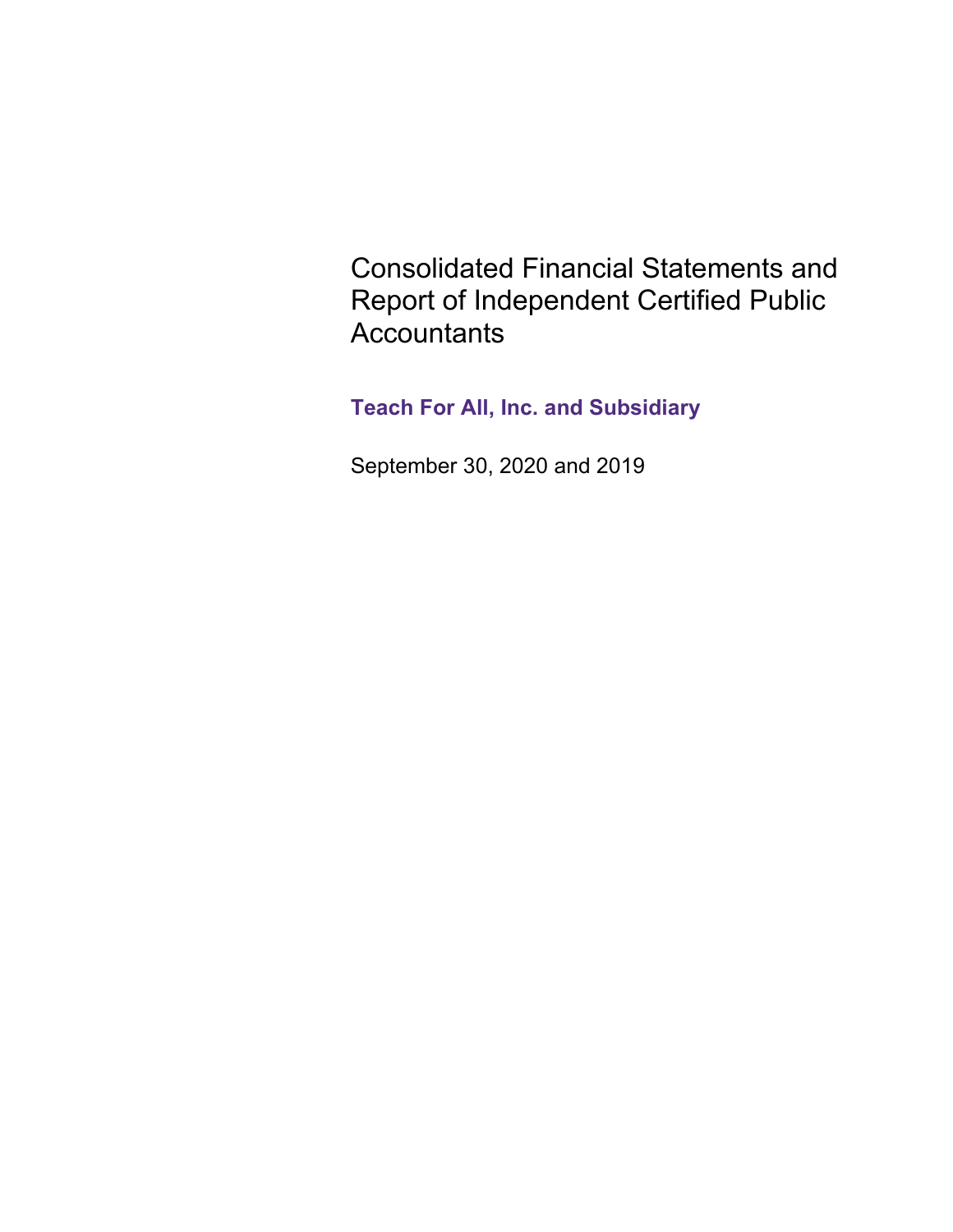Consolidated Financial Statements and Report of Independent Certified Public **Accountants** 

**Teach For All, Inc. and Subsidiary**

September 30, 2020 and 2019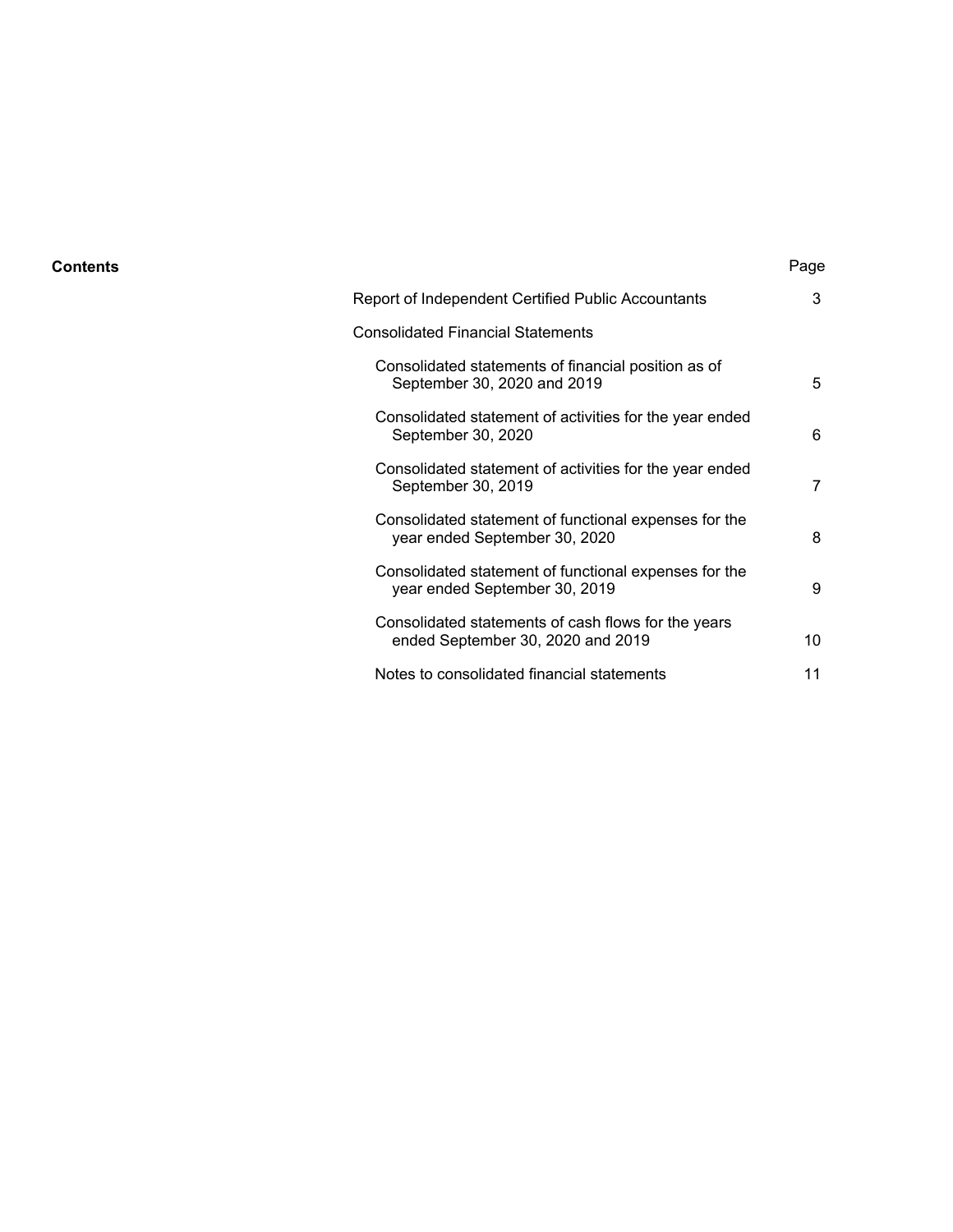#### **Contents** Page

| Report of Independent Certified Public Accountants                                       | 3  |
|------------------------------------------------------------------------------------------|----|
| Consolidated Financial Statements                                                        |    |
| Consolidated statements of financial position as of<br>September 30, 2020 and 2019       | 5  |
| Consolidated statement of activities for the year ended<br>September 30, 2020            | 6  |
| Consolidated statement of activities for the year ended<br>September 30, 2019            | 7  |
| Consolidated statement of functional expenses for the<br>year ended September 30, 2020   | 8  |
| Consolidated statement of functional expenses for the<br>year ended September 30, 2019   | 9  |
| Consolidated statements of cash flows for the years<br>ended September 30, 2020 and 2019 | 10 |
| Notes to consolidated financial statements                                               | 11 |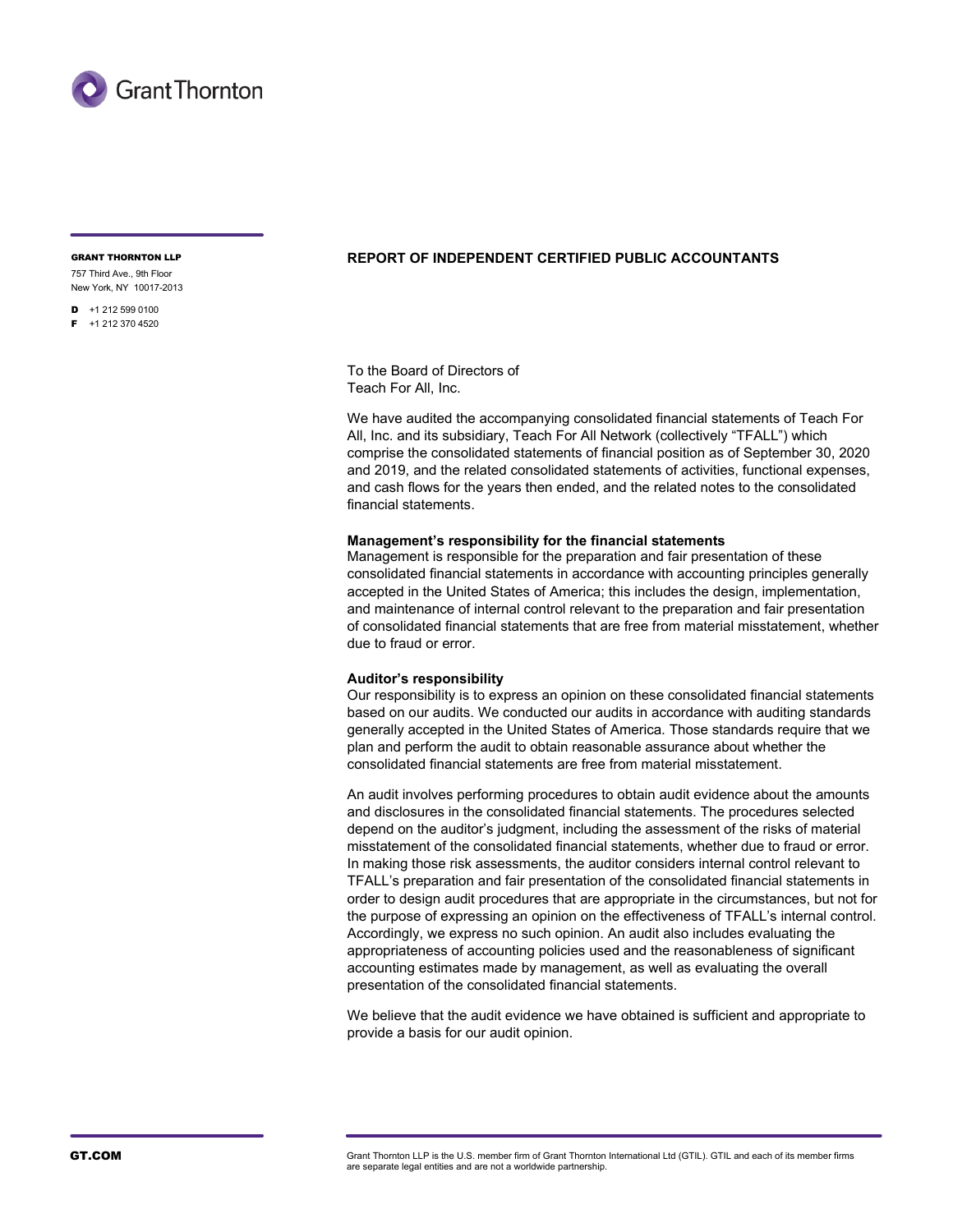

757 Third Ave., 9th Floor

New York, NY 10017-2013  $\blacksquare$  +1 212 599 0100

 $F + 1$  212 370 4520

#### GRANT THORNTON LLP **REPORT OF INDEPENDENT CERTIFIED PUBLIC ACCOUNTANTS**

To the Board of Directors of Teach For All, Inc.

We have audited the accompanying consolidated financial statements of Teach For All, Inc. and its subsidiary, Teach For All Network (collectively "TFALL") which comprise the consolidated statements of financial position as of September 30, 2020 and 2019, and the related consolidated statements of activities, functional expenses, and cash flows for the years then ended, and the related notes to the consolidated financial statements.

#### **Management's responsibility for the financial statements**

Management is responsible for the preparation and fair presentation of these consolidated financial statements in accordance with accounting principles generally accepted in the United States of America; this includes the design, implementation, and maintenance of internal control relevant to the preparation and fair presentation of consolidated financial statements that are free from material misstatement, whether due to fraud or error.

#### **Auditor's responsibility**

Our responsibility is to express an opinion on these consolidated financial statements based on our audits. We conducted our audits in accordance with auditing standards generally accepted in the United States of America. Those standards require that we plan and perform the audit to obtain reasonable assurance about whether the consolidated financial statements are free from material misstatement.

An audit involves performing procedures to obtain audit evidence about the amounts and disclosures in the consolidated financial statements. The procedures selected depend on the auditor's judgment, including the assessment of the risks of material misstatement of the consolidated financial statements, whether due to fraud or error. In making those risk assessments, the auditor considers internal control relevant to TFALL's preparation and fair presentation of the consolidated financial statements in order to design audit procedures that are appropriate in the circumstances, but not for the purpose of expressing an opinion on the effectiveness of TFALL's internal control. Accordingly, we express no such opinion. An audit also includes evaluating the appropriateness of accounting policies used and the reasonableness of significant accounting estimates made by management, as well as evaluating the overall presentation of the consolidated financial statements.

We believe that the audit evidence we have obtained is sufficient and appropriate to provide a basis for our audit opinion.

GT.COM GTACOM Grant Thornton LLP is the U.S. member firm of Grant Thornton International Ltd (GTIL). GTIL and each of its member firms are separate legal entities and are not a worldwide partnership.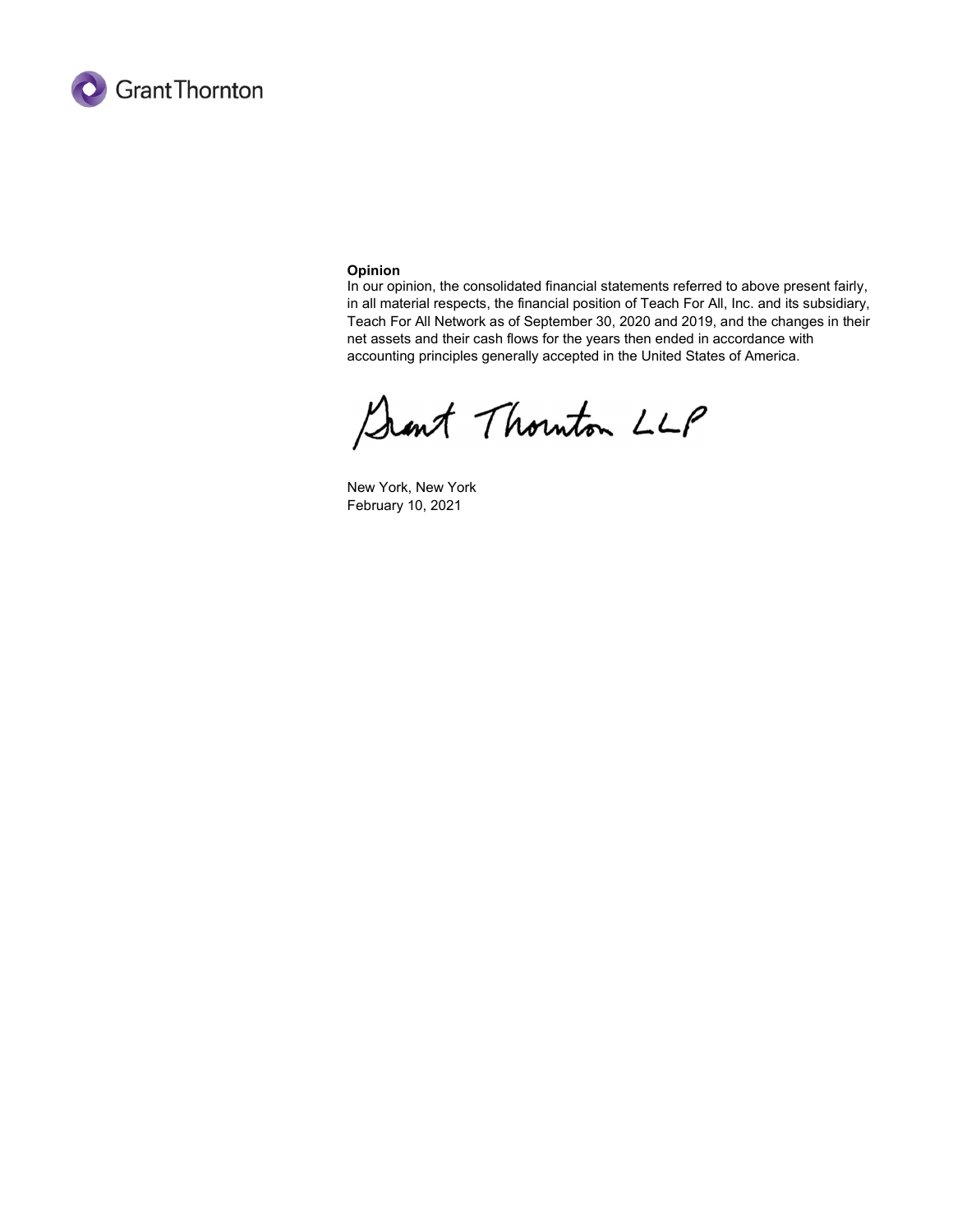

#### Opinion

In our opinion, the consolidated financial statements referred to above present fairly, in all material respects, the financial position of Teach For All, Inc. and its subsidiary, Teach For All Network as of September 30, 2020 and 2019, and the changes in their net assets and their cash flows for the years then ended in accordance with accounting principles generally accepted in the United States of America.

Sant Thouton LLP

New York, New York February 10, 2021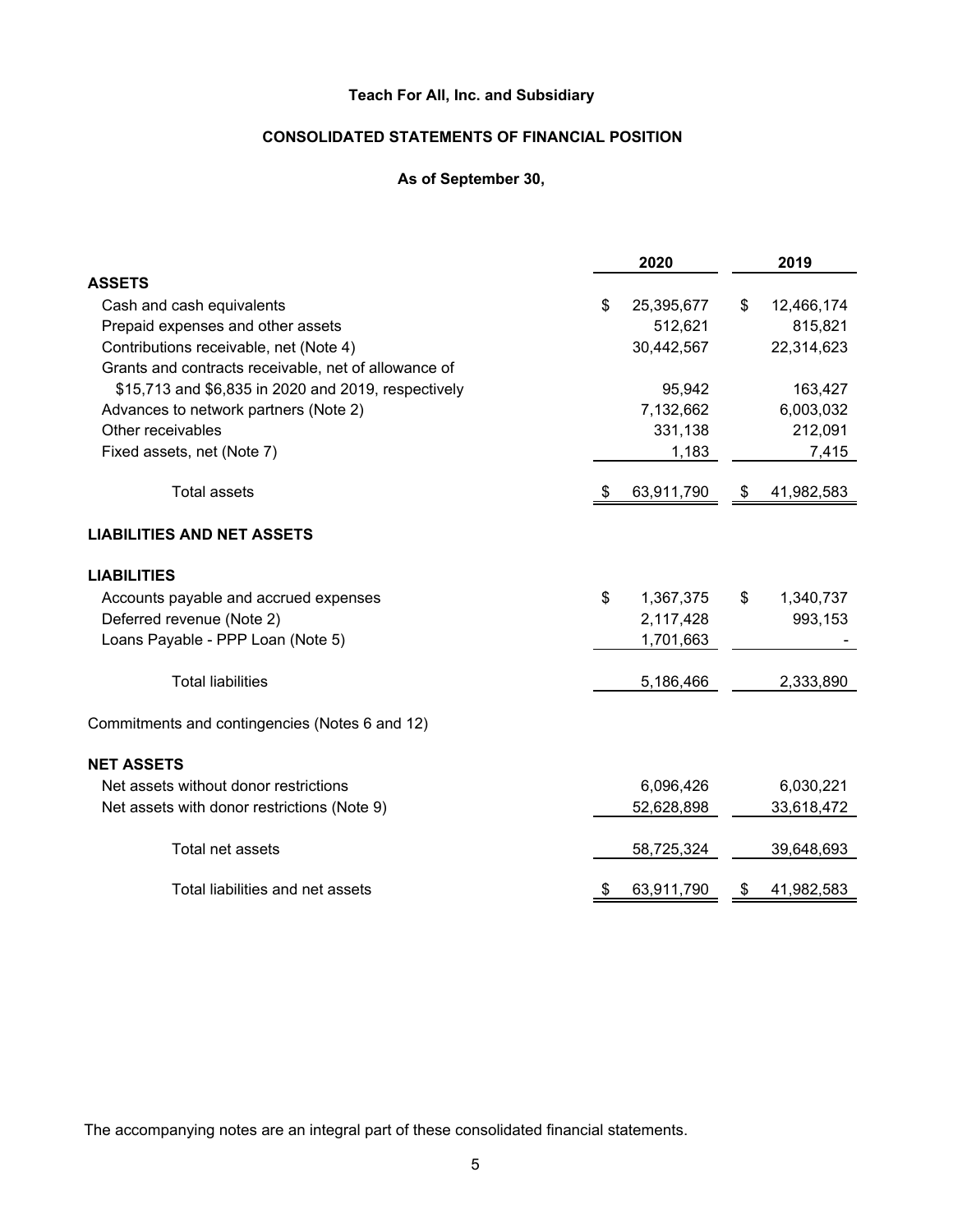# **CONSOLIDATED STATEMENTS OF FINANCIAL POSITION**

## **As of September 30,**

|                                                      |    | 2020       |    | 2019       |
|------------------------------------------------------|----|------------|----|------------|
| <b>ASSETS</b>                                        |    |            |    |            |
| Cash and cash equivalents                            | \$ | 25,395,677 | \$ | 12,466,174 |
| Prepaid expenses and other assets                    |    | 512,621    |    | 815,821    |
| Contributions receivable, net (Note 4)               |    | 30,442,567 |    | 22,314,623 |
| Grants and contracts receivable, net of allowance of |    |            |    |            |
| \$15,713 and \$6,835 in 2020 and 2019, respectively  |    | 95,942     |    | 163,427    |
| Advances to network partners (Note 2)                |    | 7,132,662  |    | 6,003,032  |
| Other receivables                                    |    | 331,138    |    | 212,091    |
| Fixed assets, net (Note 7)                           |    | 1,183      |    | 7,415      |
| <b>Total assets</b>                                  | £. | 63,911,790 | \$ | 41,982,583 |
|                                                      |    |            |    |            |
| <b>LIABILITIES AND NET ASSETS</b>                    |    |            |    |            |
| <b>LIABILITIES</b>                                   |    |            |    |            |
| Accounts payable and accrued expenses                | \$ | 1,367,375  | \$ | 1,340,737  |
| Deferred revenue (Note 2)                            |    | 2,117,428  |    | 993,153    |
| Loans Payable - PPP Loan (Note 5)                    |    | 1,701,663  |    |            |
| <b>Total liabilities</b>                             |    | 5,186,466  |    | 2,333,890  |
| Commitments and contingencies (Notes 6 and 12)       |    |            |    |            |
|                                                      |    |            |    |            |
| <b>NET ASSETS</b>                                    |    |            |    |            |
| Net assets without donor restrictions                |    | 6,096,426  |    | 6,030,221  |
| Net assets with donor restrictions (Note 9)          |    | 52,628,898 |    | 33,618,472 |
| Total net assets                                     |    | 58,725,324 |    | 39,648,693 |
| Total liabilities and net assets                     |    | 63,911,790 | £. | 41,982,583 |
|                                                      |    |            |    |            |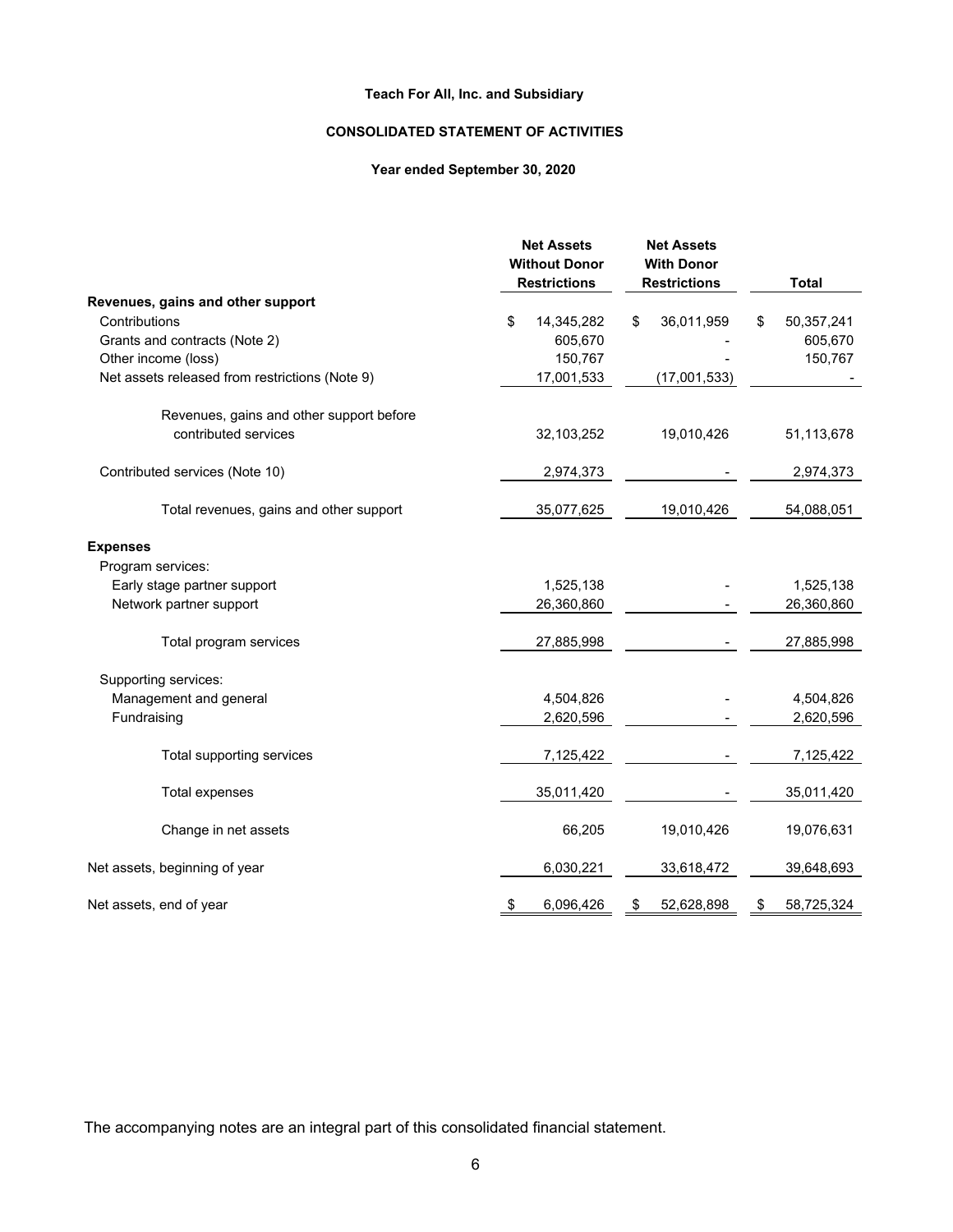# **CONSOLIDATED STATEMENT OF ACTIVITIES**

## **Year ended September 30, 2020**

|                                                | <b>Net Assets</b><br><b>Without Donor</b> | <b>Net Assets</b><br><b>With Donor</b> |                  |
|------------------------------------------------|-------------------------------------------|----------------------------------------|------------------|
|                                                | <b>Restrictions</b>                       | <b>Restrictions</b>                    | <b>Total</b>     |
| Revenues, gains and other support              |                                           |                                        |                  |
| Contributions                                  | \$<br>14,345,282                          | 36,011,959<br>\$                       | 50,357,241<br>S  |
| Grants and contracts (Note 2)                  | 605,670                                   |                                        | 605,670          |
| Other income (loss)                            | 150,767                                   |                                        | 150,767          |
| Net assets released from restrictions (Note 9) | 17,001,533                                | (17,001,533)                           |                  |
| Revenues, gains and other support before       |                                           |                                        |                  |
| contributed services                           | 32,103,252                                | 19,010,426                             | 51,113,678       |
| Contributed services (Note 10)                 | 2,974,373                                 |                                        | 2,974,373        |
| Total revenues, gains and other support        | 35,077,625                                | 19,010,426                             | 54,088,051       |
| <b>Expenses</b>                                |                                           |                                        |                  |
| Program services:                              |                                           |                                        |                  |
| Early stage partner support                    | 1,525,138                                 |                                        | 1,525,138        |
| Network partner support                        | 26,360,860                                |                                        | 26,360,860       |
| Total program services                         | 27,885,998                                |                                        | 27,885,998       |
| Supporting services:                           |                                           |                                        |                  |
| Management and general                         | 4,504,826                                 |                                        | 4,504,826        |
| Fundraising                                    | 2,620,596                                 |                                        | 2,620,596        |
| Total supporting services                      | 7,125,422                                 |                                        | 7,125,422        |
| <b>Total expenses</b>                          | 35,011,420                                |                                        | 35,011,420       |
| Change in net assets                           | 66,205                                    | 19,010,426                             | 19,076,631       |
| Net assets, beginning of year                  | 6,030,221                                 | 33,618,472                             | 39,648,693       |
| Net assets, end of year                        | 6,096,426<br>\$                           | 52,628,898<br>\$                       | 58,725,324<br>\$ |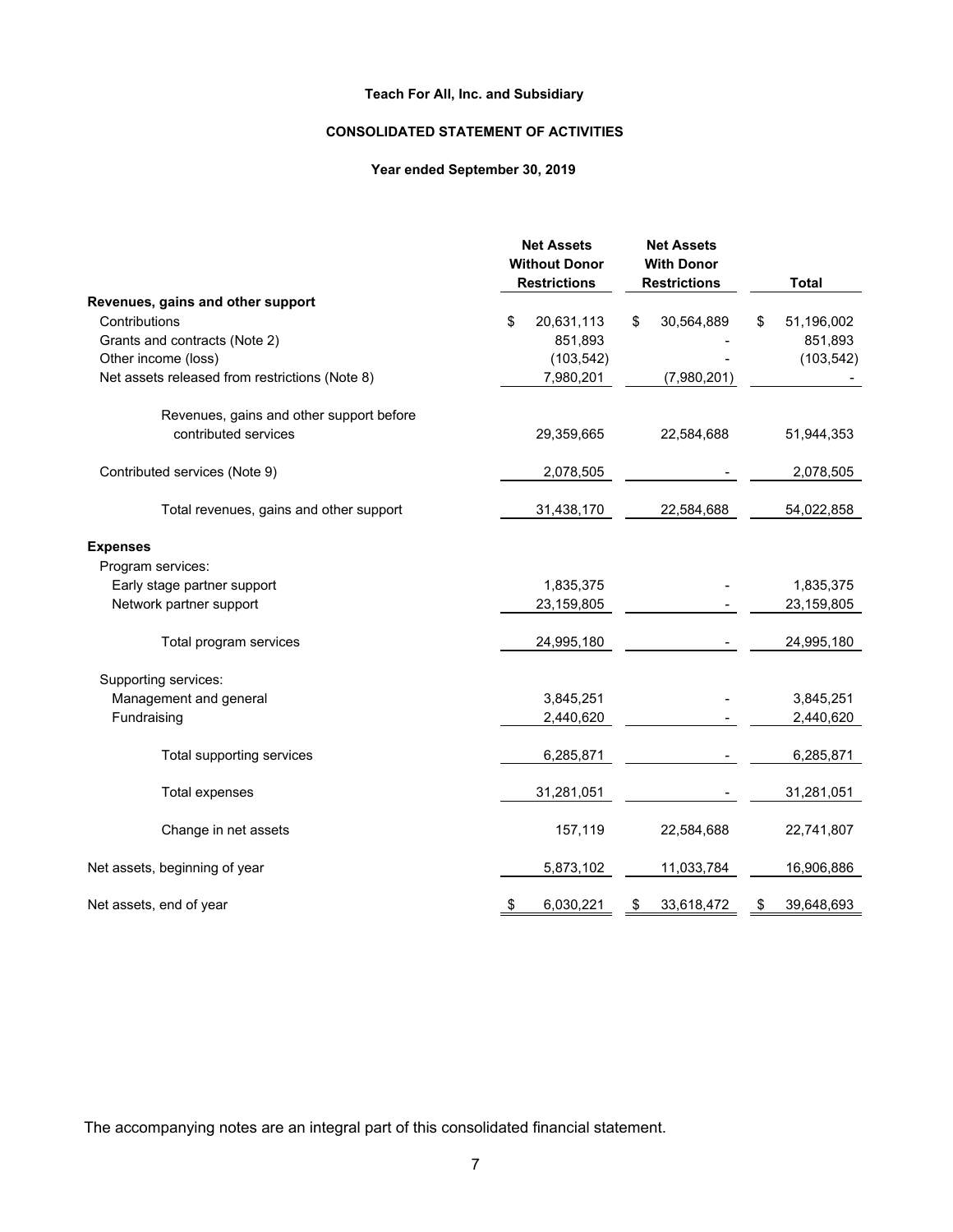# **CONSOLIDATED STATEMENT OF ACTIVITIES**

## **Year ended September 30, 2019**

|                                                | <b>Net Assets</b><br><b>Without Donor</b> | <b>Net Assets</b><br><b>With Donor</b> |                   |
|------------------------------------------------|-------------------------------------------|----------------------------------------|-------------------|
|                                                | <b>Restrictions</b>                       | <b>Restrictions</b>                    | <b>Total</b>      |
| Revenues, gains and other support              |                                           |                                        |                   |
| Contributions                                  | \$<br>20,631,113<br>851,893               | 30,564,889<br>\$                       | 51,196,002<br>\$. |
| Grants and contracts (Note 2)                  |                                           |                                        | 851,893           |
| Other income (loss)                            | (103, 542)                                |                                        | (103, 542)        |
| Net assets released from restrictions (Note 8) | 7,980,201                                 | (7,980,201)                            |                   |
| Revenues, gains and other support before       |                                           |                                        |                   |
| contributed services                           | 29,359,665                                | 22,584,688                             | 51,944,353        |
| Contributed services (Note 9)                  | 2,078,505                                 |                                        | 2,078,505         |
| Total revenues, gains and other support        | 31,438,170                                | 22,584,688                             | 54,022,858        |
| <b>Expenses</b>                                |                                           |                                        |                   |
| Program services:                              |                                           |                                        |                   |
| Early stage partner support                    | 1,835,375                                 |                                        | 1,835,375         |
| Network partner support                        | 23,159,805                                |                                        | 23,159,805        |
| Total program services                         | 24,995,180                                |                                        | 24,995,180        |
| Supporting services:                           |                                           |                                        |                   |
| Management and general                         | 3,845,251                                 |                                        | 3,845,251         |
| Fundraising                                    | 2,440,620                                 |                                        | 2,440,620         |
| Total supporting services                      | 6,285,871                                 |                                        | 6,285,871         |
| <b>Total expenses</b>                          | 31,281,051                                |                                        | 31,281,051        |
| Change in net assets                           | 157,119                                   | 22,584,688                             | 22,741,807        |
| Net assets, beginning of year                  | 5,873,102                                 | 11,033,784                             | 16,906,886        |
| Net assets, end of year                        | 6,030,221<br>\$                           | 33,618,472<br>\$                       | 39,648,693<br>\$  |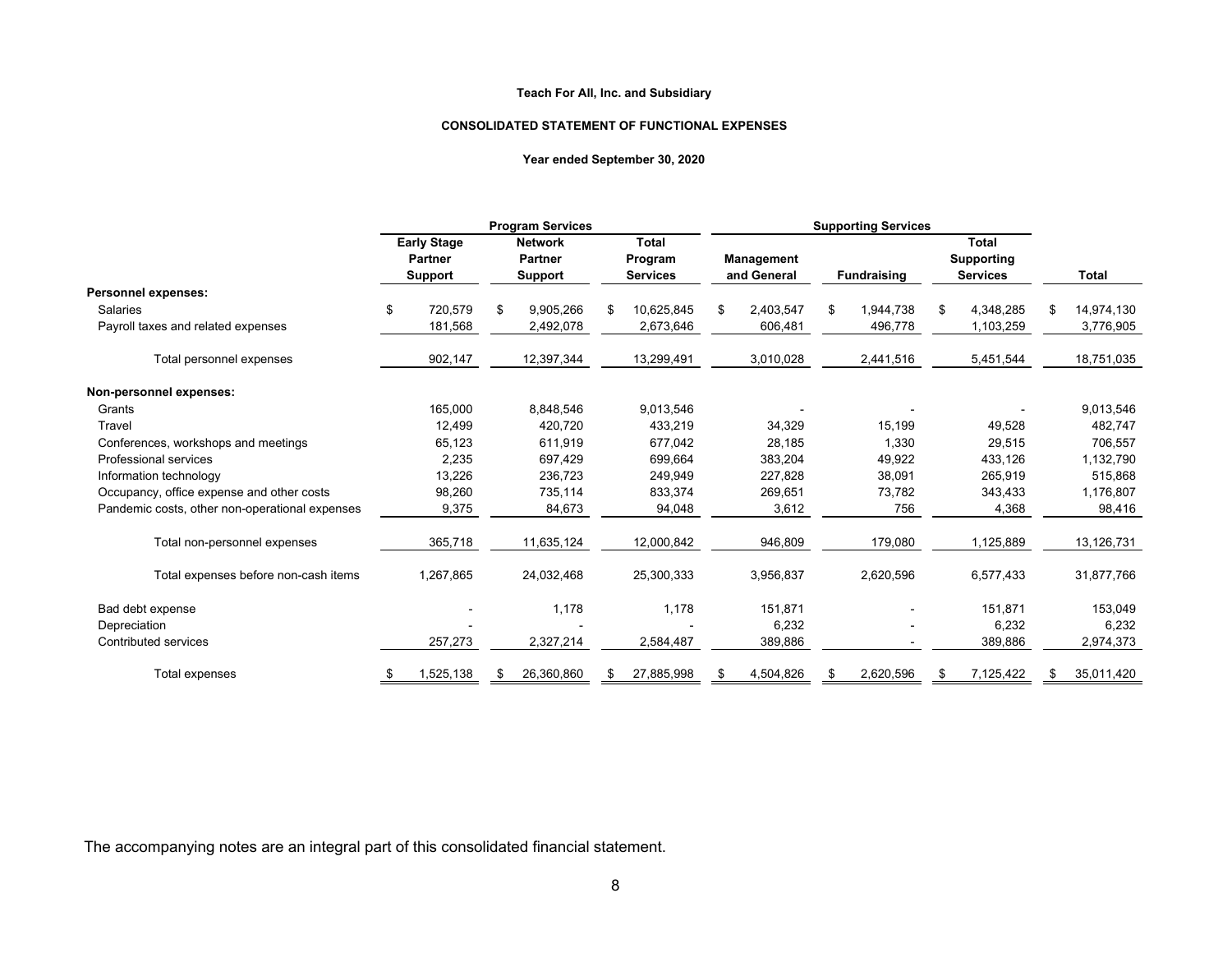#### **CONSOLIDATED STATEMENT OF FUNCTIONAL EXPENSES**

#### **Year ended September 30, 2020**

|                                                |                                      | <b>Program Services</b>          |    |                            |    | <b>Supporting Services</b> |    |                    |    |                                      |    |              |
|------------------------------------------------|--------------------------------------|----------------------------------|----|----------------------------|----|----------------------------|----|--------------------|----|--------------------------------------|----|--------------|
|                                                | <b>Early Stage</b><br><b>Partner</b> | <b>Network</b><br><b>Partner</b> |    | <b>Total</b>               |    |                            |    |                    |    | <b>Total</b>                         |    |              |
|                                                | <b>Support</b>                       | <b>Support</b>                   |    | Program<br><b>Services</b> |    | Management<br>and General  |    | <b>Fundraising</b> |    | <b>Supporting</b><br><b>Services</b> |    | <b>Total</b> |
| Personnel expenses:                            |                                      |                                  |    |                            |    |                            |    |                    |    |                                      |    |              |
| <b>Salaries</b>                                | \$<br>720,579                        | \$<br>9,905,266                  | S  | 10,625,845                 | £. | 2,403,547                  | \$ | 1,944,738          | \$ | 4,348,285                            | S  | 14,974,130   |
| Payroll taxes and related expenses             | 181,568                              | 2,492,078                        |    | 2,673,646                  |    | 606,481                    |    | 496,778            |    | 1,103,259                            |    | 3,776,905    |
| Total personnel expenses                       | 902,147                              | 12,397,344                       |    | 13,299,491                 |    | 3,010,028                  |    | 2,441,516          |    | 5,451,544                            |    | 18,751,035   |
| Non-personnel expenses:                        |                                      |                                  |    |                            |    |                            |    |                    |    |                                      |    |              |
| Grants                                         | 165,000                              | 8,848,546                        |    | 9,013,546                  |    |                            |    |                    |    |                                      |    | 9,013,546    |
| Travel                                         | 12.499                               | 420.720                          |    | 433.219                    |    | 34,329                     |    | 15.199             |    | 49.528                               |    | 482.747      |
| Conferences, workshops and meetings            | 65,123                               | 611,919                          |    | 677,042                    |    | 28,185                     |    | 1,330              |    | 29,515                               |    | 706,557      |
| Professional services                          | 2,235                                | 697,429                          |    | 699,664                    |    | 383,204                    |    | 49,922             |    | 433,126                              |    | 1,132,790    |
| Information technology                         | 13,226                               | 236,723                          |    | 249,949                    |    | 227,828                    |    | 38,091             |    | 265,919                              |    | 515,868      |
| Occupancy, office expense and other costs      | 98,260                               | 735,114                          |    | 833,374                    |    | 269,651                    |    | 73,782             |    | 343,433                              |    | 1,176,807    |
| Pandemic costs, other non-operational expenses | 9,375                                | 84,673                           |    | 94,048                     |    | 3,612                      |    | 756                |    | 4,368                                |    | 98,416       |
| Total non-personnel expenses                   | 365,718                              | 11,635,124                       |    | 12,000,842                 |    | 946,809                    |    | 179,080            |    | 1,125,889                            |    | 13,126,731   |
| Total expenses before non-cash items           | 1,267,865                            | 24,032,468                       |    | 25,300,333                 |    | 3,956,837                  |    | 2,620,596          |    | 6,577,433                            |    | 31,877,766   |
| Bad debt expense                               |                                      | 1,178                            |    | 1,178                      |    | 151,871                    |    |                    |    | 151,871                              |    | 153,049      |
| Depreciation                                   |                                      |                                  |    |                            |    | 6,232                      |    |                    |    | 6,232                                |    | 6,232        |
| Contributed services                           | 257,273                              | 2,327,214                        |    | 2,584,487                  |    | 389,886                    |    |                    |    | 389,886                              |    | 2,974,373    |
| Total expenses                                 | 1,525,138                            | \$<br>26,360,860                 | S. | 27,885,998                 |    | 4,504,826                  | S  | 2,620,596          | S  | 7,125,422                            | -S | 35,011,420   |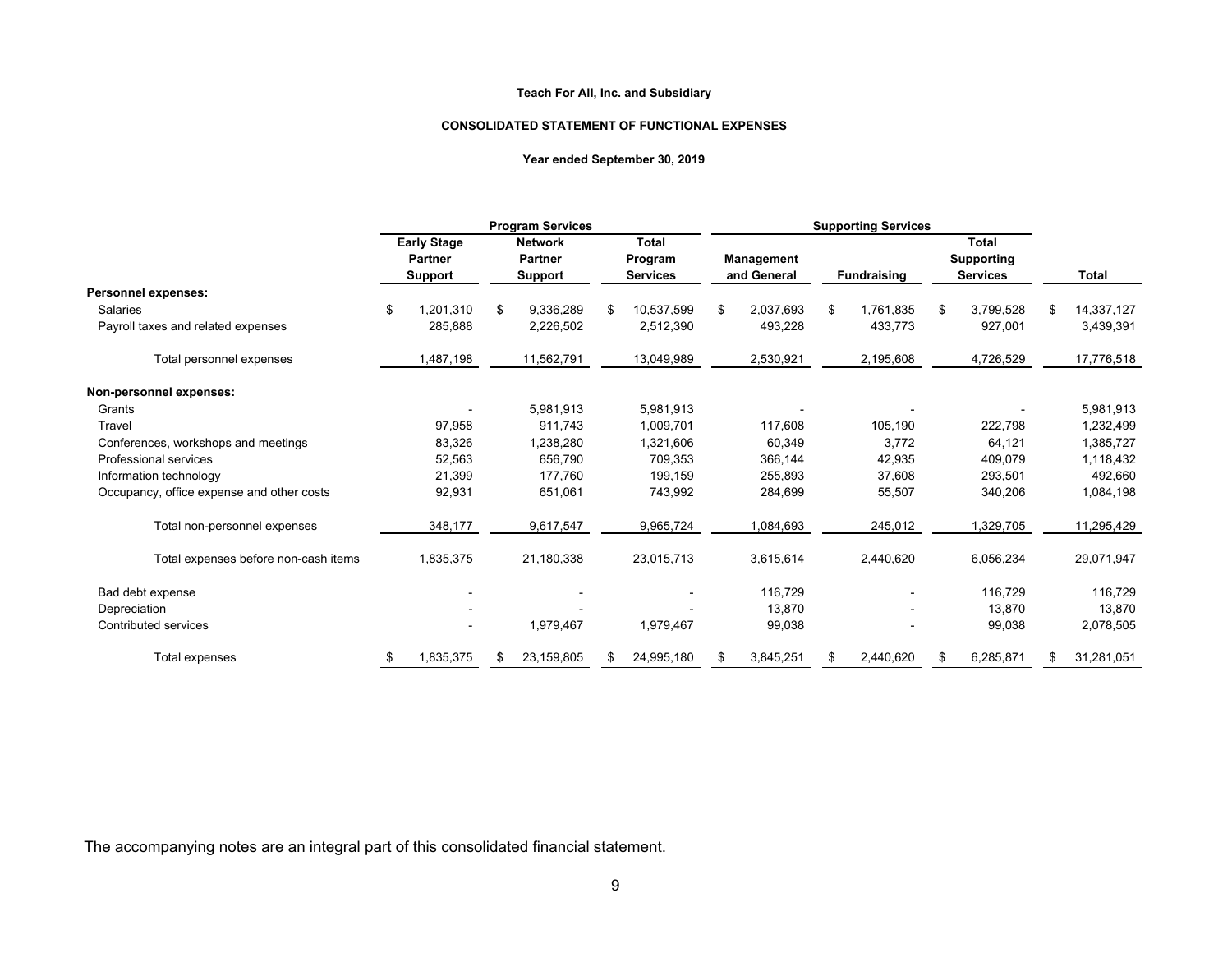#### **CONSOLIDATED STATEMENT OF FUNCTIONAL EXPENSES**

#### **Year ended September 30, 2019**

|                                           | <b>Program Services</b> |                                                        |    | <b>Supporting Services</b>                         |                                            |     |                                  |    |                    |    |                                                      |    |            |
|-------------------------------------------|-------------------------|--------------------------------------------------------|----|----------------------------------------------------|--------------------------------------------|-----|----------------------------------|----|--------------------|----|------------------------------------------------------|----|------------|
|                                           |                         | <b>Early Stage</b><br><b>Partner</b><br><b>Support</b> |    | <b>Network</b><br><b>Partner</b><br><b>Support</b> | <b>Total</b><br>Program<br><b>Services</b> |     | <b>Management</b><br>and General |    | <b>Fundraising</b> |    | <b>Total</b><br><b>Supporting</b><br><b>Services</b> |    | Total      |
| Personnel expenses:                       |                         |                                                        |    |                                                    |                                            |     |                                  |    |                    |    |                                                      |    |            |
| Salaries                                  | \$                      | 1,201,310                                              | \$ | 9,336,289                                          | \$<br>10,537,599                           | \$. | 2,037,693                        | \$ | 1,761,835          | \$ | 3,799,528                                            | S  | 14,337,127 |
| Payroll taxes and related expenses        |                         | 285,888                                                |    | 2,226,502                                          | 2,512,390                                  |     | 493,228                          |    | 433,773            |    | 927,001                                              |    | 3,439,391  |
| Total personnel expenses                  |                         | 1,487,198                                              |    | 11,562,791                                         | 13,049,989                                 |     | 2,530,921                        |    | 2,195,608          |    | 4,726,529                                            |    | 17,776,518 |
| Non-personnel expenses:                   |                         |                                                        |    |                                                    |                                            |     |                                  |    |                    |    |                                                      |    |            |
| Grants                                    |                         |                                                        |    | 5,981,913                                          | 5,981,913                                  |     |                                  |    |                    |    |                                                      |    | 5,981,913  |
| Travel                                    |                         | 97,958                                                 |    | 911,743                                            | 1,009,701                                  |     | 117,608                          |    | 105,190            |    | 222,798                                              |    | 1,232,499  |
| Conferences, workshops and meetings       |                         | 83,326                                                 |    | 1,238,280                                          | 1,321,606                                  |     | 60,349                           |    | 3,772              |    | 64,121                                               |    | 1,385,727  |
| Professional services                     |                         | 52,563                                                 |    | 656,790                                            | 709,353                                    |     | 366,144                          |    | 42,935             |    | 409,079                                              |    | 1,118,432  |
| Information technology                    |                         | 21,399                                                 |    | 177,760                                            | 199,159                                    |     | 255,893                          |    | 37,608             |    | 293,501                                              |    | 492,660    |
| Occupancy, office expense and other costs |                         | 92,931                                                 |    | 651,061                                            | 743,992                                    |     | 284,699                          |    | 55,507             |    | 340,206                                              |    | 1,084,198  |
| Total non-personnel expenses              |                         | 348,177                                                |    | 9,617,547                                          | 9,965,724                                  |     | 1,084,693                        |    | 245,012            |    | 1,329,705                                            |    | 11,295,429 |
| Total expenses before non-cash items      |                         | 1,835,375                                              |    | 21,180,338                                         | 23,015,713                                 |     | 3,615,614                        |    | 2,440,620          |    | 6,056,234                                            |    | 29,071,947 |
| Bad debt expense                          |                         |                                                        |    |                                                    |                                            |     | 116,729                          |    |                    |    | 116,729                                              |    | 116,729    |
| Depreciation                              |                         |                                                        |    |                                                    |                                            |     | 13,870                           |    |                    |    | 13,870                                               |    | 13,870     |
| Contributed services                      |                         |                                                        |    | 1,979,467                                          | 1,979,467                                  |     | 99,038                           |    |                    |    | 99,038                                               |    | 2,078,505  |
| Total expenses                            | \$                      | 1,835,375                                              | \$ | 23,159,805                                         | \$<br>24,995,180                           |     | 3,845,251                        | \$ | 2,440,620          | \$ | 6,285,871                                            | æ. | 31,281,051 |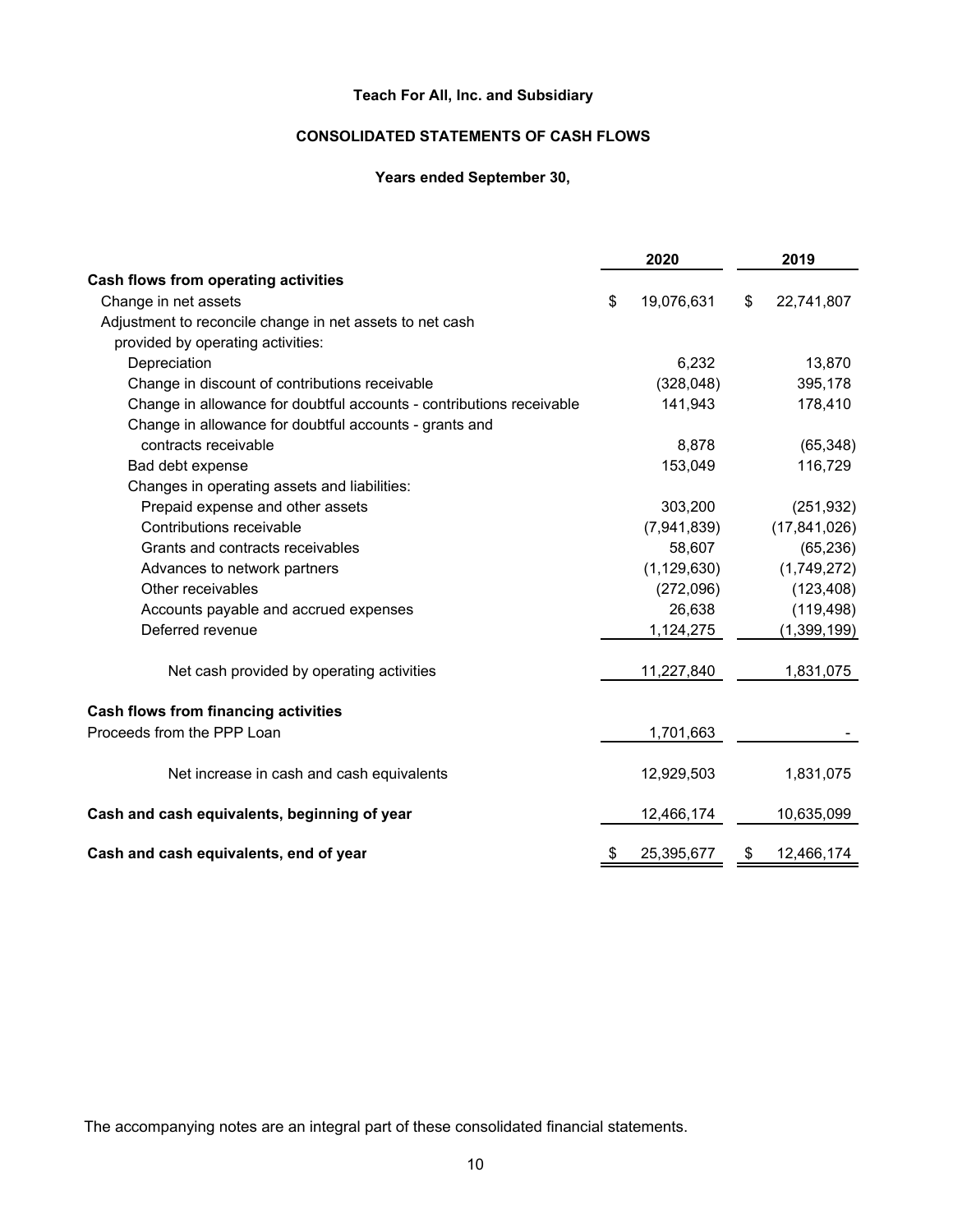# **CONSOLIDATED STATEMENTS OF CASH FLOWS**

# **Years ended September 30,**

|                                                                      |    | 2020          |    | 2019           |  |  |
|----------------------------------------------------------------------|----|---------------|----|----------------|--|--|
| Cash flows from operating activities                                 |    |               |    |                |  |  |
| Change in net assets                                                 | \$ | 19,076,631    | \$ | 22,741,807     |  |  |
| Adjustment to reconcile change in net assets to net cash             |    |               |    |                |  |  |
| provided by operating activities:                                    |    |               |    |                |  |  |
| Depreciation                                                         |    | 6,232         |    | 13,870         |  |  |
| Change in discount of contributions receivable                       |    | (328, 048)    |    | 395,178        |  |  |
| Change in allowance for doubtful accounts - contributions receivable |    | 141,943       |    | 178,410        |  |  |
| Change in allowance for doubtful accounts - grants and               |    |               |    |                |  |  |
| contracts receivable                                                 |    | 8,878         |    | (65, 348)      |  |  |
| Bad debt expense                                                     |    | 153,049       |    | 116,729        |  |  |
| Changes in operating assets and liabilities:                         |    |               |    |                |  |  |
| Prepaid expense and other assets                                     |    | 303,200       |    | (251, 932)     |  |  |
| Contributions receivable                                             |    | (7,941,839)   |    | (17, 841, 026) |  |  |
| Grants and contracts receivables                                     |    | 58,607        |    | (65, 236)      |  |  |
| Advances to network partners                                         |    | (1, 129, 630) |    | (1,749,272)    |  |  |
| Other receivables                                                    |    | (272,096)     |    | (123, 408)     |  |  |
| Accounts payable and accrued expenses                                |    | 26,638        |    | (119, 498)     |  |  |
| Deferred revenue                                                     |    | 1,124,275     |    | (1,399,199)    |  |  |
| Net cash provided by operating activities                            |    | 11,227,840    |    | 1,831,075      |  |  |
| <b>Cash flows from financing activities</b>                          |    |               |    |                |  |  |
| Proceeds from the PPP Loan                                           |    | 1,701,663     |    |                |  |  |
| Net increase in cash and cash equivalents                            |    | 12,929,503    |    | 1,831,075      |  |  |
| Cash and cash equivalents, beginning of year                         |    | 12,466,174    |    | 10,635,099     |  |  |
| Cash and cash equivalents, end of year                               |    | 25,395,677    | S  | 12,466,174     |  |  |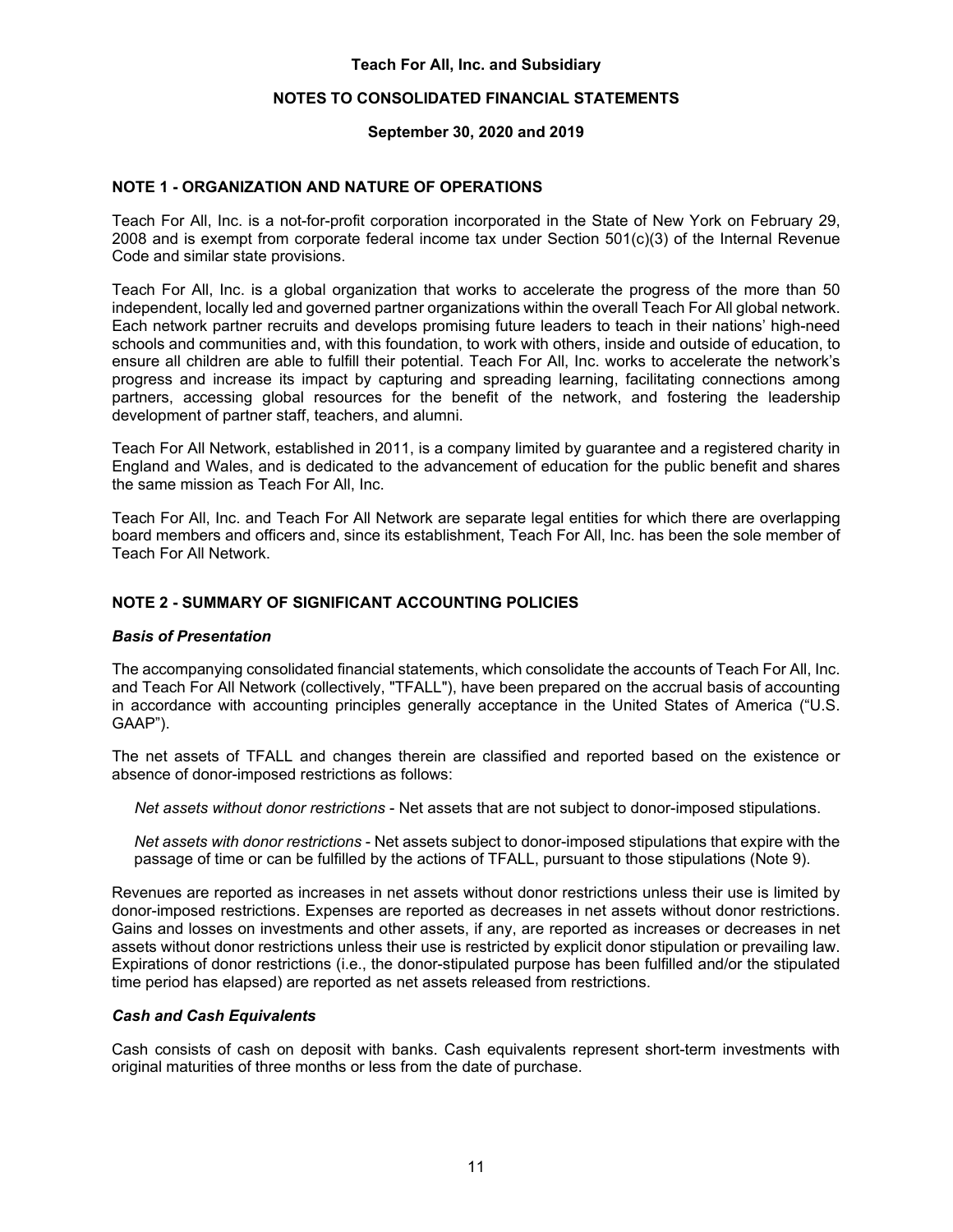## **NOTES TO CONSOLIDATED FINANCIAL STATEMENTS**

### **September 30, 2020 and 2019**

## **NOTE 1 - ORGANIZATION AND NATURE OF OPERATIONS**

Teach For All, Inc. is a not-for-profit corporation incorporated in the State of New York on February 29, 2008 and is exempt from corporate federal income tax under Section 501(c)(3) of the Internal Revenue Code and similar state provisions.

Teach For All, Inc. is a global organization that works to accelerate the progress of the more than 50 independent, locally led and governed partner organizations within the overall Teach For All global network. Each network partner recruits and develops promising future leaders to teach in their nations' high-need schools and communities and, with this foundation, to work with others, inside and outside of education, to ensure all children are able to fulfill their potential. Teach For All, Inc. works to accelerate the network's progress and increase its impact by capturing and spreading learning, facilitating connections among partners, accessing global resources for the benefit of the network, and fostering the leadership development of partner staff, teachers, and alumni.

Teach For All Network, established in 2011, is a company limited by guarantee and a registered charity in England and Wales, and is dedicated to the advancement of education for the public benefit and shares the same mission as Teach For All, Inc.

Teach For All, Inc. and Teach For All Network are separate legal entities for which there are overlapping board members and officers and, since its establishment, Teach For All, Inc. has been the sole member of Teach For All Network.

## **NOTE 2 - SUMMARY OF SIGNIFICANT ACCOUNTING POLICIES**

#### *Basis of Presentation*

The accompanying consolidated financial statements, which consolidate the accounts of Teach For All, Inc. and Teach For All Network (collectively, "TFALL"), have been prepared on the accrual basis of accounting in accordance with accounting principles generally acceptance in the United States of America ("U.S. GAAP").

The net assets of TFALL and changes therein are classified and reported based on the existence or absence of donor-imposed restrictions as follows:

*Net assets without donor restrictions* - Net assets that are not subject to donor-imposed stipulations.

*Net assets with donor restrictions* - Net assets subject to donor-imposed stipulations that expire with the passage of time or can be fulfilled by the actions of TFALL, pursuant to those stipulations (Note 9).

Revenues are reported as increases in net assets without donor restrictions unless their use is limited by donor-imposed restrictions. Expenses are reported as decreases in net assets without donor restrictions. Gains and losses on investments and other assets, if any, are reported as increases or decreases in net assets without donor restrictions unless their use is restricted by explicit donor stipulation or prevailing law. Expirations of donor restrictions (i.e., the donor-stipulated purpose has been fulfilled and/or the stipulated time period has elapsed) are reported as net assets released from restrictions.

#### *Cash and Cash Equivalents*

Cash consists of cash on deposit with banks. Cash equivalents represent short-term investments with original maturities of three months or less from the date of purchase.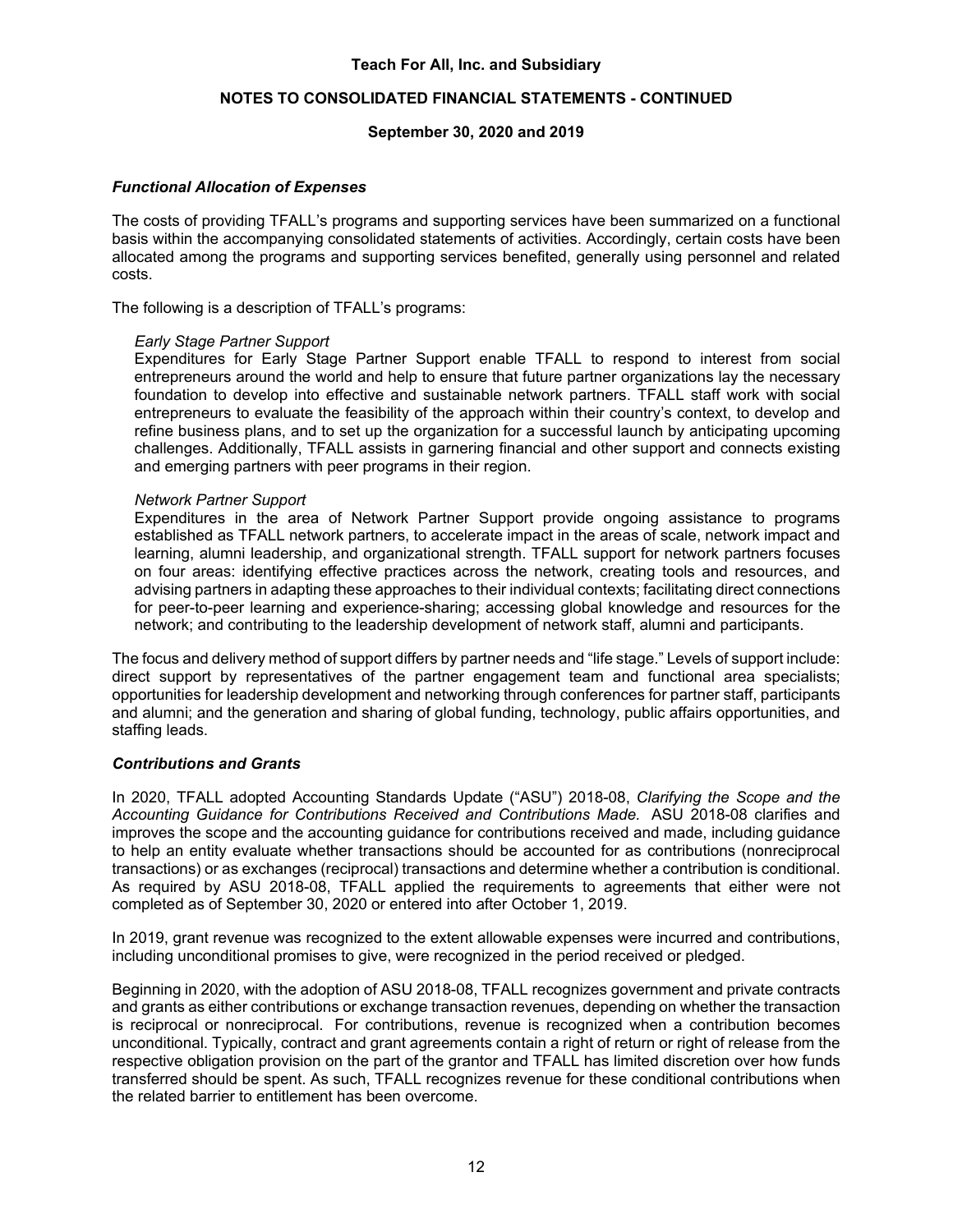## **NOTES TO CONSOLIDATED FINANCIAL STATEMENTS - CONTINUED**

#### **September 30, 2020 and 2019**

#### *Functional Allocation of Expenses*

The costs of providing TFALL's programs and supporting services have been summarized on a functional basis within the accompanying consolidated statements of activities. Accordingly, certain costs have been allocated among the programs and supporting services benefited, generally using personnel and related costs.

The following is a description of TFALL's programs:

#### *Early Stage Partner Support*

Expenditures for Early Stage Partner Support enable TFALL to respond to interest from social entrepreneurs around the world and help to ensure that future partner organizations lay the necessary foundation to develop into effective and sustainable network partners. TFALL staff work with social entrepreneurs to evaluate the feasibility of the approach within their country's context, to develop and refine business plans, and to set up the organization for a successful launch by anticipating upcoming challenges. Additionally, TFALL assists in garnering financial and other support and connects existing and emerging partners with peer programs in their region.

#### *Network Partner Support*

Expenditures in the area of Network Partner Support provide ongoing assistance to programs established as TFALL network partners, to accelerate impact in the areas of scale, network impact and learning, alumni leadership, and organizational strength. TFALL support for network partners focuses on four areas: identifying effective practices across the network, creating tools and resources, and advising partners in adapting these approaches to their individual contexts; facilitating direct connections for peer-to-peer learning and experience-sharing; accessing global knowledge and resources for the network; and contributing to the leadership development of network staff, alumni and participants.

The focus and delivery method of support differs by partner needs and "life stage." Levels of support include: direct support by representatives of the partner engagement team and functional area specialists; opportunities for leadership development and networking through conferences for partner staff, participants and alumni; and the generation and sharing of global funding, technology, public affairs opportunities, and staffing leads.

#### *Contributions and Grants*

In 2020, TFALL adopted Accounting Standards Update ("ASU") 2018-08, *Clarifying the Scope and the Accounting Guidance for Contributions Received and Contributions Made.* ASU 2018-08 clarifies and improves the scope and the accounting guidance for contributions received and made, including guidance to help an entity evaluate whether transactions should be accounted for as contributions (nonreciprocal transactions) or as exchanges (reciprocal) transactions and determine whether a contribution is conditional. As required by ASU 2018-08, TFALL applied the requirements to agreements that either were not completed as of September 30, 2020 or entered into after October 1, 2019.

In 2019, grant revenue was recognized to the extent allowable expenses were incurred and contributions, including unconditional promises to give, were recognized in the period received or pledged.

Beginning in 2020, with the adoption of ASU 2018-08, TFALL recognizes government and private contracts and grants as either contributions or exchange transaction revenues, depending on whether the transaction is reciprocal or nonreciprocal. For contributions, revenue is recognized when a contribution becomes unconditional. Typically, contract and grant agreements contain a right of return or right of release from the respective obligation provision on the part of the grantor and TFALL has limited discretion over how funds transferred should be spent. As such, TFALL recognizes revenue for these conditional contributions when the related barrier to entitlement has been overcome.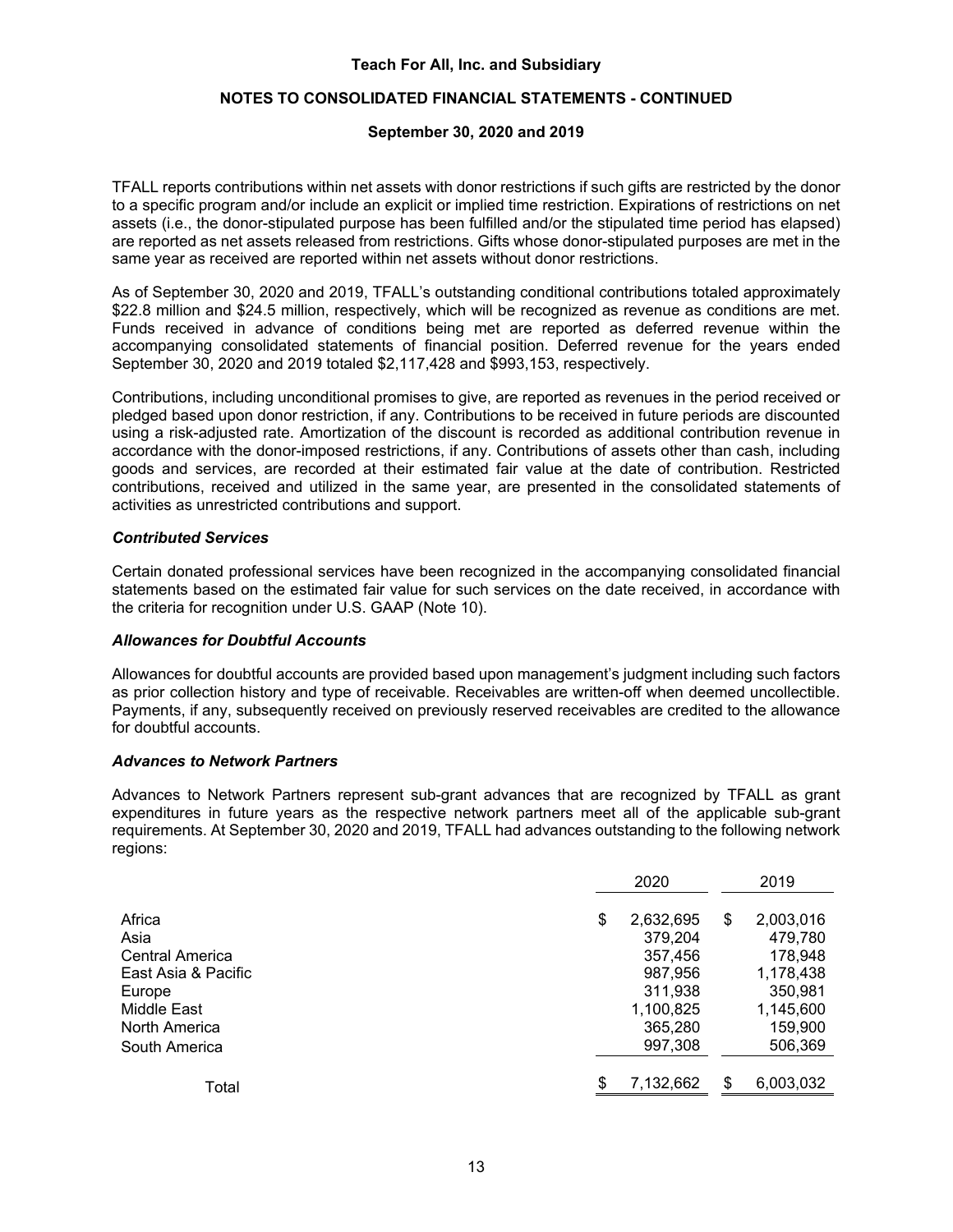# **NOTES TO CONSOLIDATED FINANCIAL STATEMENTS - CONTINUED**

# **September 30, 2020 and 2019**

TFALL reports contributions within net assets with donor restrictions if such gifts are restricted by the donor to a specific program and/or include an explicit or implied time restriction. Expirations of restrictions on net assets (i.e., the donor-stipulated purpose has been fulfilled and/or the stipulated time period has elapsed) are reported as net assets released from restrictions. Gifts whose donor-stipulated purposes are met in the same year as received are reported within net assets without donor restrictions.

As of September 30, 2020 and 2019, TFALL's outstanding conditional contributions totaled approximately \$22.8 million and \$24.5 million, respectively, which will be recognized as revenue as conditions are met. Funds received in advance of conditions being met are reported as deferred revenue within the accompanying consolidated statements of financial position. Deferred revenue for the years ended September 30, 2020 and 2019 totaled \$2,117,428 and \$993,153, respectively.

Contributions, including unconditional promises to give, are reported as revenues in the period received or pledged based upon donor restriction, if any. Contributions to be received in future periods are discounted using a risk-adjusted rate. Amortization of the discount is recorded as additional contribution revenue in accordance with the donor-imposed restrictions, if any. Contributions of assets other than cash, including goods and services, are recorded at their estimated fair value at the date of contribution. Restricted contributions, received and utilized in the same year, are presented in the consolidated statements of activities as unrestricted contributions and support.

## *Contributed Services*

Certain donated professional services have been recognized in the accompanying consolidated financial statements based on the estimated fair value for such services on the date received, in accordance with the criteria for recognition under U.S. GAAP (Note 10).

#### *Allowances for Doubtful Accounts*

Allowances for doubtful accounts are provided based upon management's judgment including such factors as prior collection history and type of receivable. Receivables are written-off when deemed uncollectible. Payments, if any, subsequently received on previously reserved receivables are credited to the allowance for doubtful accounts.

#### *Advances to Network Partners*

Advances to Network Partners represent sub-grant advances that are recognized by TFALL as grant expenditures in future years as the respective network partners meet all of the applicable sub-grant requirements. At September 30, 2020 and 2019, TFALL had advances outstanding to the following network regions:

|                     | 2020            |     |           |
|---------------------|-----------------|-----|-----------|
| Africa              | \$<br>2,632,695 | \$  | 2,003,016 |
| Asia                | 379,204         |     | 479,780   |
| Central America     | 357,456         |     | 178,948   |
| East Asia & Pacific | 987,956         |     | 1,178,438 |
| Europe              | 311,938         |     | 350,981   |
| Middle East         | 1,100,825       |     | 1,145,600 |
| North America       | 365,280         |     | 159,900   |
| South America       | 997.308         |     | 506,369   |
| Total               | \$<br>7,132,662 | \$. | 6,003,032 |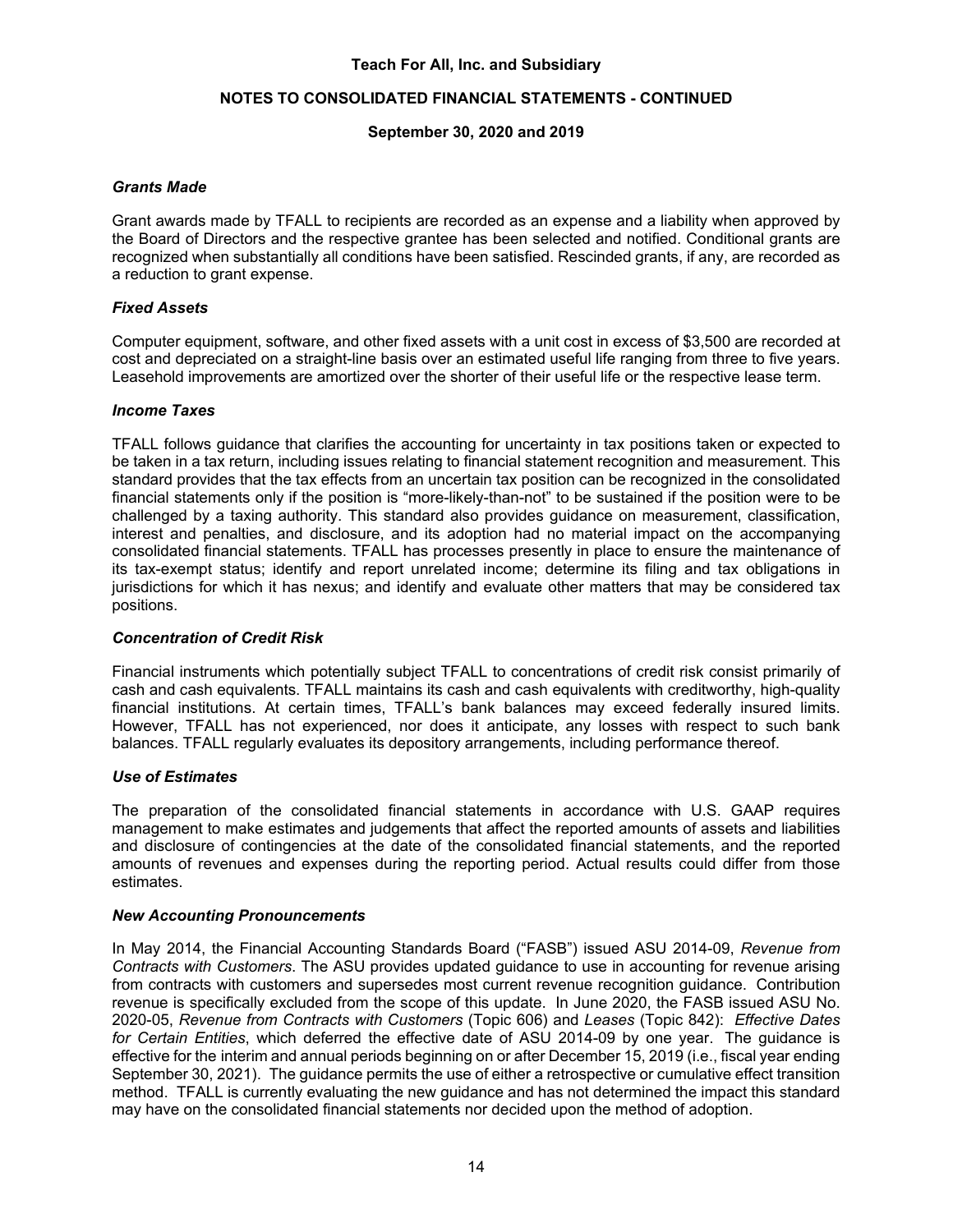# **NOTES TO CONSOLIDATED FINANCIAL STATEMENTS - CONTINUED**

### **September 30, 2020 and 2019**

#### *Grants Made*

Grant awards made by TFALL to recipients are recorded as an expense and a liability when approved by the Board of Directors and the respective grantee has been selected and notified. Conditional grants are recognized when substantially all conditions have been satisfied. Rescinded grants, if any, are recorded as a reduction to grant expense.

### *Fixed Assets*

Computer equipment, software, and other fixed assets with a unit cost in excess of \$3,500 are recorded at cost and depreciated on a straight-line basis over an estimated useful life ranging from three to five years. Leasehold improvements are amortized over the shorter of their useful life or the respective lease term.

#### *Income Taxes*

TFALL follows guidance that clarifies the accounting for uncertainty in tax positions taken or expected to be taken in a tax return, including issues relating to financial statement recognition and measurement. This standard provides that the tax effects from an uncertain tax position can be recognized in the consolidated financial statements only if the position is "more-likely-than-not" to be sustained if the position were to be challenged by a taxing authority. This standard also provides guidance on measurement, classification, interest and penalties, and disclosure, and its adoption had no material impact on the accompanying consolidated financial statements. TFALL has processes presently in place to ensure the maintenance of its tax-exempt status; identify and report unrelated income; determine its filing and tax obligations in jurisdictions for which it has nexus; and identify and evaluate other matters that may be considered tax positions.

#### *Concentration of Credit Risk*

Financial instruments which potentially subject TFALL to concentrations of credit risk consist primarily of cash and cash equivalents. TFALL maintains its cash and cash equivalents with creditworthy, high-quality financial institutions. At certain times, TFALL's bank balances may exceed federally insured limits. However, TFALL has not experienced, nor does it anticipate, any losses with respect to such bank balances. TFALL regularly evaluates its depository arrangements, including performance thereof.

#### *Use of Estimates*

The preparation of the consolidated financial statements in accordance with U.S. GAAP requires management to make estimates and judgements that affect the reported amounts of assets and liabilities and disclosure of contingencies at the date of the consolidated financial statements, and the reported amounts of revenues and expenses during the reporting period. Actual results could differ from those estimates.

#### *New Accounting Pronouncements*

In May 2014, the Financial Accounting Standards Board ("FASB") issued ASU 2014-09, *Revenue from Contracts with Customers*. The ASU provides updated guidance to use in accounting for revenue arising from contracts with customers and supersedes most current revenue recognition guidance. Contribution revenue is specifically excluded from the scope of this update. In June 2020, the FASB issued ASU No. 2020-05, *Revenue from Contracts with Customers* (Topic 606) and *Leases* (Topic 842): *Effective Dates for Certain Entities*, which deferred the effective date of ASU 2014-09 by one year. The guidance is effective for the interim and annual periods beginning on or after December 15, 2019 (i.e., fiscal year ending September 30, 2021). The guidance permits the use of either a retrospective or cumulative effect transition method. TFALL is currently evaluating the new guidance and has not determined the impact this standard may have on the consolidated financial statements nor decided upon the method of adoption.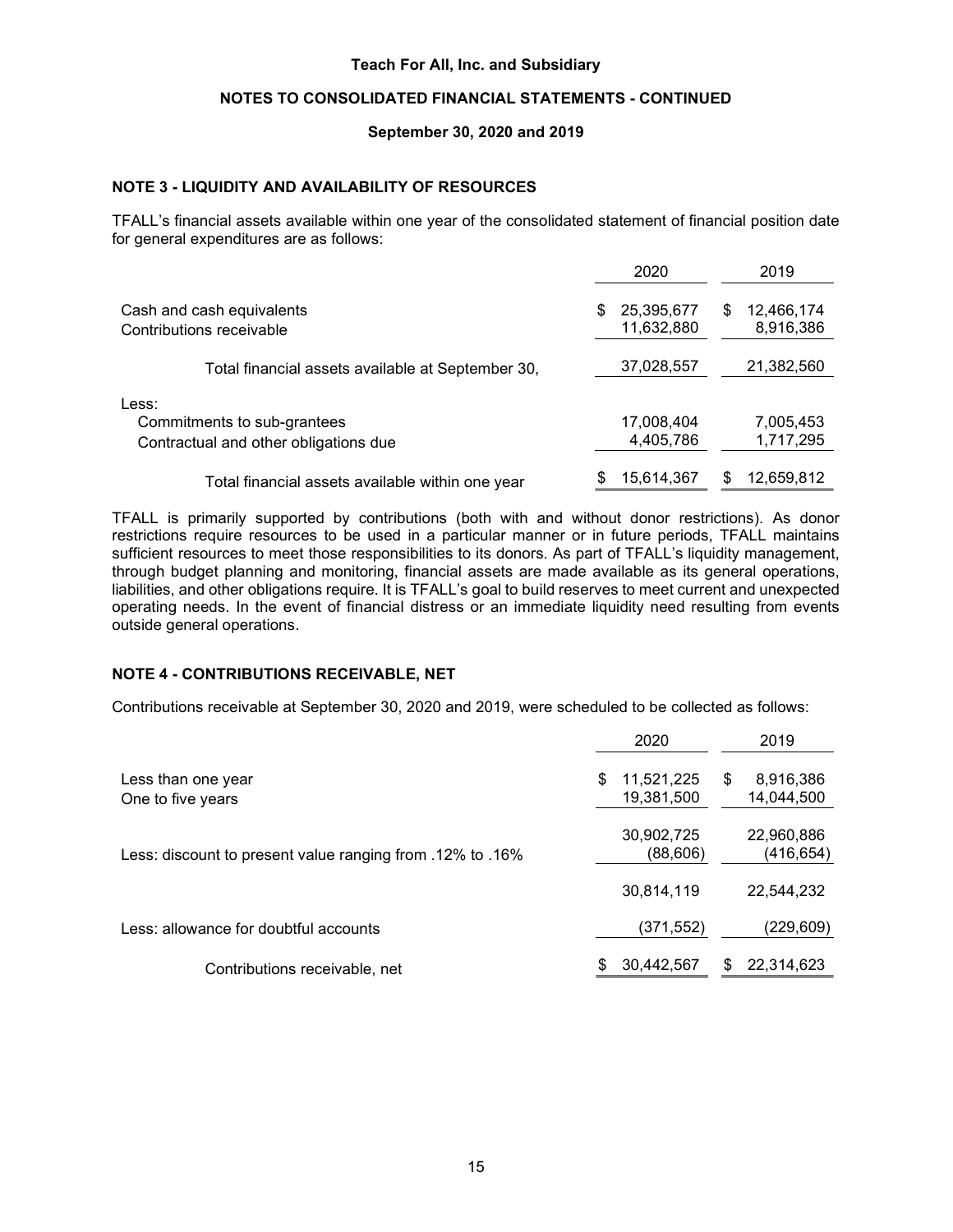# NOTES TO CONSOLIDATED FINANCIAL STATEMENTS - CONTINUED

#### September 30, 2020 and 2019

#### NOTE 3 - LIQUIDITY AND AVAILABILITY OF RESOURCES

TFALL's financial assets available within one year of the consolidated statement of financial position date for general expenditures are as follows:

|                                                                               | 2020                           | 2019                          |
|-------------------------------------------------------------------------------|--------------------------------|-------------------------------|
| Cash and cash equivalents<br>Contributions receivable                         | 25,395,677<br>\$<br>11,632,880 | 12,466,174<br>\$<br>8,916,386 |
| Total financial assets available at September 30,                             | 37,028,557                     | 21,382,560                    |
| Less:<br>Commitments to sub-grantees<br>Contractual and other obligations due | 17,008,404<br>4,405,786        | 7,005,453<br>1,717,295        |
| Total financial assets available within one year                              | 15,614,367                     | 12,659,812                    |

TFALL is primarily supported by contributions (both with and without donor restrictions). As donor restrictions require resources to be used in a particular manner or in future periods, TFALL maintains sufficient resources to meet those responsibilities to its donors. As part of TFALL's liquidity management, through budget planning and monitoring, financial assets are made available as its general operations, liabilities, and other obligations require. It is TFALL's goal to build reserves to meet current and unexpected operating needs. In the event of financial distress or an immediate liquidity need resulting from events outside general operations.

#### NOTE 4 - CONTRIBUTIONS RECEIVABLE, NET

Contributions receivable at September 30, 2020 and 2019, were scheduled to be collected as follows:

|                                                           | 2020                           | 2019                         |
|-----------------------------------------------------------|--------------------------------|------------------------------|
| Less than one year<br>One to five years                   | \$<br>11,521,225<br>19,381,500 | 8,916,386<br>S<br>14,044,500 |
| Less: discount to present value ranging from .12% to .16% | 30,902,725<br>(88,606)         | 22,960,886<br>(416,654)      |
|                                                           | 30,814,119                     | 22,544,232                   |
| Less: allowance for doubtful accounts                     | (371,552)                      | (229,609)                    |
| Contributions receivable, net                             | 30,442,567<br>\$               | 22,314,623                   |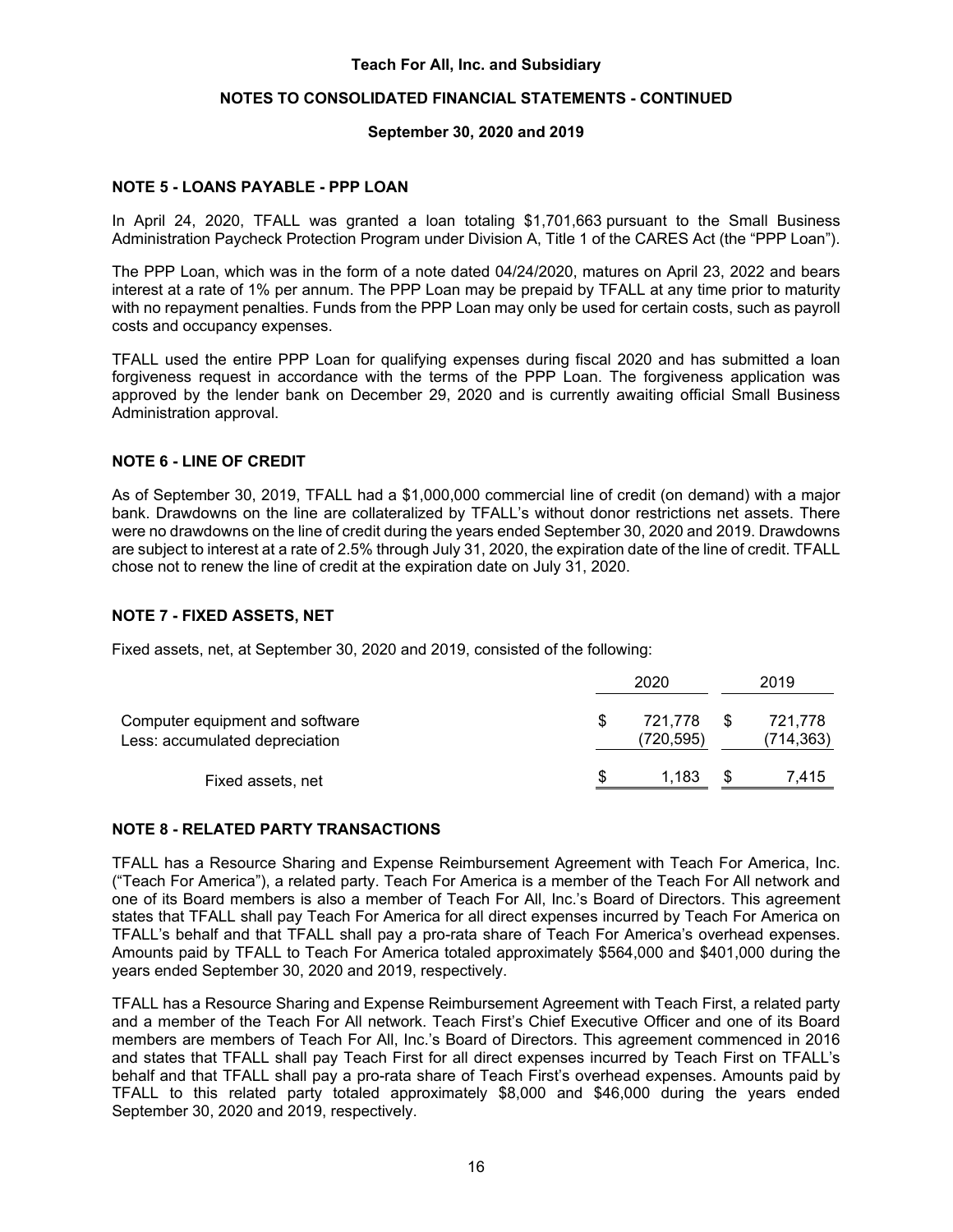## **NOTES TO CONSOLIDATED FINANCIAL STATEMENTS - CONTINUED**

#### **September 30, 2020 and 2019**

#### **NOTE 5 - LOANS PAYABLE - PPP LOAN**

In April 24, 2020, TFALL was granted a loan totaling \$1,701,663 pursuant to the Small Business Administration Paycheck Protection Program under Division A, Title 1 of the CARES Act (the "PPP Loan").

The PPP Loan, which was in the form of a note dated 04/24/2020, matures on April 23, 2022 and bears interest at a rate of 1% per annum. The PPP Loan may be prepaid by TFALL at any time prior to maturity with no repayment penalties. Funds from the PPP Loan may only be used for certain costs, such as payroll costs and occupancy expenses.

TFALL used the entire PPP Loan for qualifying expenses during fiscal 2020 and has submitted a loan forgiveness request in accordance with the terms of the PPP Loan. The forgiveness application was approved by the lender bank on December 29, 2020 and is currently awaiting official Small Business Administration approval.

#### **NOTE 6 - LINE OF CREDIT**

As of September 30, 2019, TFALL had a \$1,000,000 commercial line of credit (on demand) with a major bank. Drawdowns on the line are collateralized by TFALL's without donor restrictions net assets. There were no drawdowns on the line of credit during the years ended September 30, 2020 and 2019. Drawdowns are subject to interest at a rate of 2.5% through July 31, 2020, the expiration date of the line of credit. TFALL chose not to renew the line of credit at the expiration date on July 31, 2020.

#### **NOTE 7 - FIXED ASSETS, NET**

Fixed assets, net, at September 30, 2020 and 2019, consisted of the following:

|                                                                   |    | 2020                  |    | 2019                  |  |
|-------------------------------------------------------------------|----|-----------------------|----|-----------------------|--|
| Computer equipment and software<br>Less: accumulated depreciation | S  | 721.778<br>(720, 595) | -S | 721.778<br>(714, 363) |  |
| Fixed assets, net                                                 | \$ | 1.183                 |    | 7.415                 |  |

#### **NOTE 8 - RELATED PARTY TRANSACTIONS**

TFALL has a Resource Sharing and Expense Reimbursement Agreement with Teach For America, Inc. ("Teach For America"), a related party. Teach For America is a member of the Teach For All network and one of its Board members is also a member of Teach For All, Inc.'s Board of Directors. This agreement states that TFALL shall pay Teach For America for all direct expenses incurred by Teach For America on TFALL's behalf and that TFALL shall pay a pro-rata share of Teach For America's overhead expenses. Amounts paid by TFALL to Teach For America totaled approximately \$564,000 and \$401,000 during the years ended September 30, 2020 and 2019, respectively.

TFALL has a Resource Sharing and Expense Reimbursement Agreement with Teach First, a related party and a member of the Teach For All network. Teach First's Chief Executive Officer and one of its Board members are members of Teach For All, Inc.'s Board of Directors. This agreement commenced in 2016 and states that TFALL shall pay Teach First for all direct expenses incurred by Teach First on TFALL's behalf and that TFALL shall pay a pro-rata share of Teach First's overhead expenses. Amounts paid by TFALL to this related party totaled approximately \$8,000 and \$46,000 during the years ended September 30, 2020 and 2019, respectively.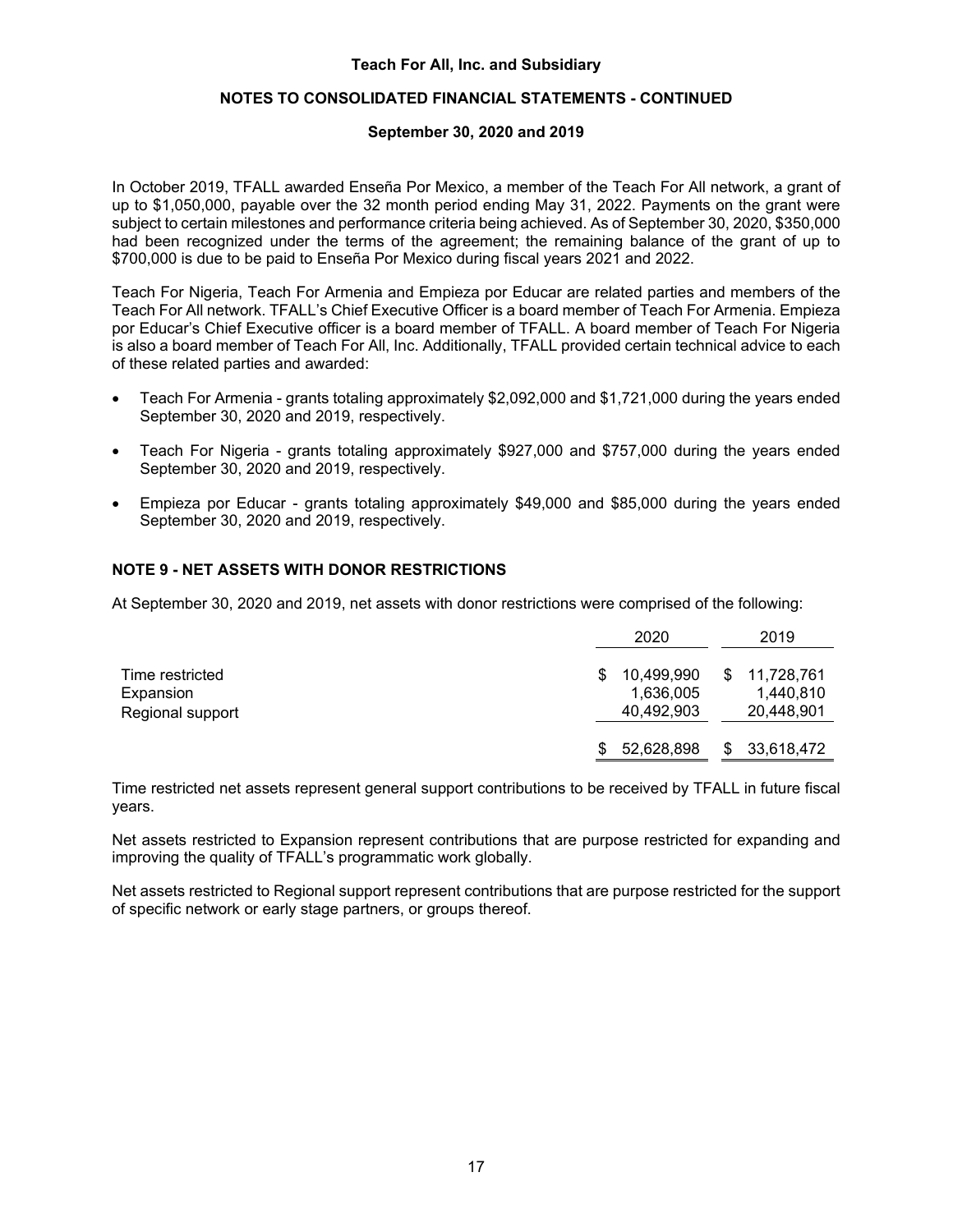# **NOTES TO CONSOLIDATED FINANCIAL STATEMENTS - CONTINUED**

#### **September 30, 2020 and 2019**

In October 2019, TFALL awarded Enseña Por Mexico, a member of the Teach For All network, a grant of up to \$1,050,000, payable over the 32 month period ending May 31, 2022. Payments on the grant were subject to certain milestones and performance criteria being achieved. As of September 30, 2020, \$350,000 had been recognized under the terms of the agreement; the remaining balance of the grant of up to \$700,000 is due to be paid to Enseña Por Mexico during fiscal years 2021 and 2022.

Teach For Nigeria, Teach For Armenia and Empieza por Educar are related parties and members of the Teach For All network. TFALL's Chief Executive Officer is a board member of Teach For Armenia. Empieza por Educar's Chief Executive officer is a board member of TFALL. A board member of Teach For Nigeria is also a board member of Teach For All, Inc. Additionally, TFALL provided certain technical advice to each of these related parties and awarded:

- Teach For Armenia grants totaling approximately \$2,092,000 and \$1,721,000 during the years ended September 30, 2020 and 2019, respectively.
- Teach For Nigeria grants totaling approximately \$927,000 and \$757,000 during the years ended September 30, 2020 and 2019, respectively.
- Empieza por Educar grants totaling approximately \$49,000 and \$85,000 during the years ended September 30, 2020 and 2019, respectively.

# **NOTE 9 - NET ASSETS WITH DONOR RESTRICTIONS**

At September 30, 2020 and 2019, net assets with donor restrictions were comprised of the following:

|                                                  | 2020                                       | 2019                                       |
|--------------------------------------------------|--------------------------------------------|--------------------------------------------|
| Time restricted<br>Expansion<br>Regional support | 10,499,990<br>S<br>1,636,005<br>40,492,903 | 11,728,761<br>S<br>1,440,810<br>20,448,901 |
|                                                  | 52,628,898<br>\$.                          | 33,618,472<br>S                            |

Time restricted net assets represent general support contributions to be received by TFALL in future fiscal years.

Net assets restricted to Expansion represent contributions that are purpose restricted for expanding and improving the quality of TFALL's programmatic work globally.

Net assets restricted to Regional support represent contributions that are purpose restricted for the support of specific network or early stage partners, or groups thereof.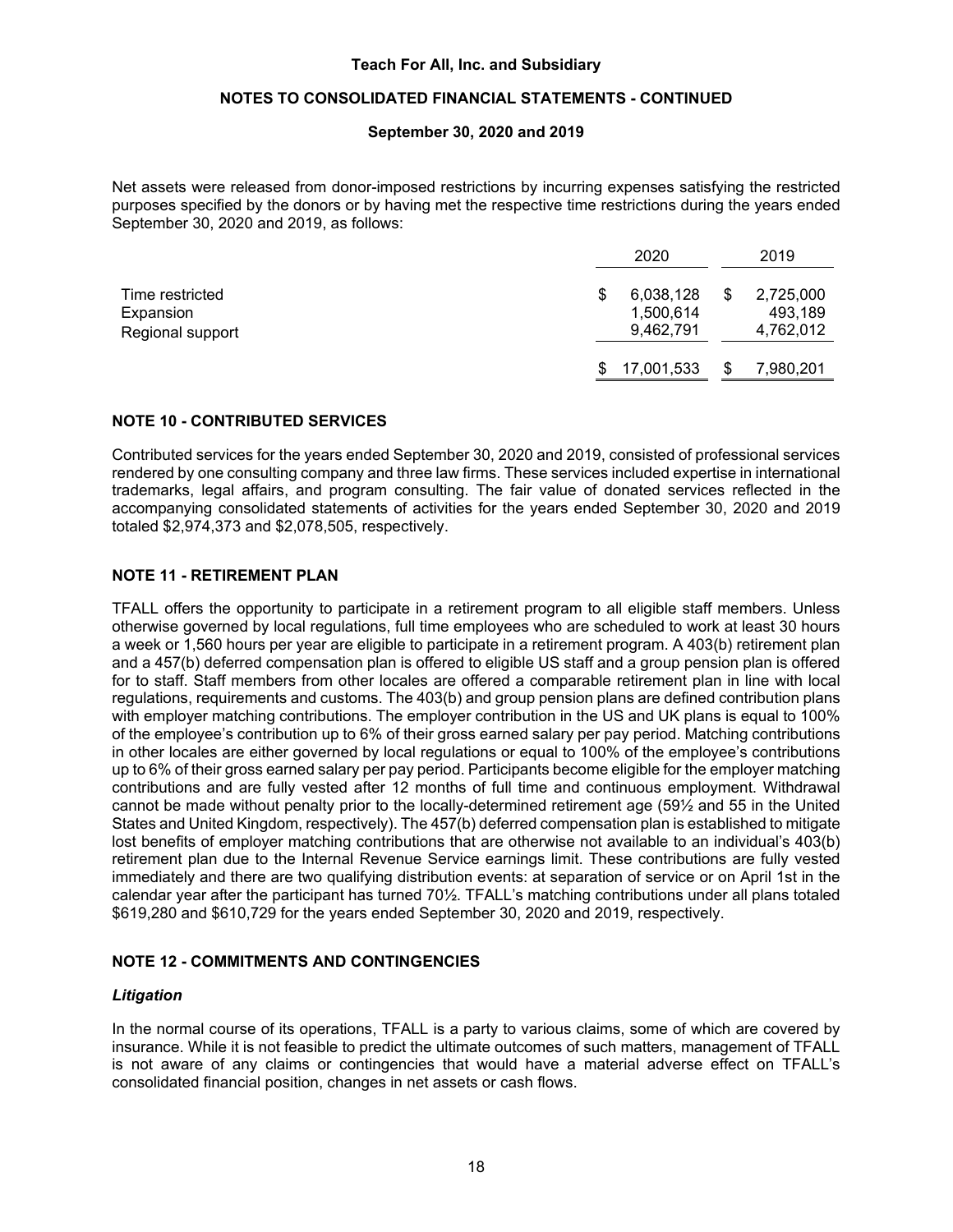# **NOTES TO CONSOLIDATED FINANCIAL STATEMENTS - CONTINUED**

#### **September 30, 2020 and 2019**

Net assets were released from donor-imposed restrictions by incurring expenses satisfying the restricted purposes specified by the donors or by having met the respective time restrictions during the years ended September 30, 2020 and 2019, as follows:

|                                                  |     | 2020                                | 2019                              |
|--------------------------------------------------|-----|-------------------------------------|-----------------------------------|
| Time restricted<br>Expansion<br>Regional support | \$  | 6,038,128<br>1,500,614<br>9,462,791 | 2,725,000<br>493,189<br>4,762,012 |
|                                                  | \$. | 17,001,533                          | 7,980,201                         |

#### **NOTE 10 - CONTRIBUTED SERVICES**

Contributed services for the years ended September 30, 2020 and 2019, consisted of professional services rendered by one consulting company and three law firms. These services included expertise in international trademarks, legal affairs, and program consulting. The fair value of donated services reflected in the accompanying consolidated statements of activities for the years ended September 30, 2020 and 2019 totaled \$2,974,373 and \$2,078,505, respectively.

## **NOTE 11 - RETIREMENT PLAN**

TFALL offers the opportunity to participate in a retirement program to all eligible staff members. Unless otherwise governed by local regulations, full time employees who are scheduled to work at least 30 hours a week or 1,560 hours per year are eligible to participate in a retirement program. A 403(b) retirement plan and a 457(b) deferred compensation plan is offered to eligible US staff and a group pension plan is offered for to staff. Staff members from other locales are offered a comparable retirement plan in line with local regulations, requirements and customs. The 403(b) and group pension plans are defined contribution plans with employer matching contributions. The employer contribution in the US and UK plans is equal to 100% of the employee's contribution up to 6% of their gross earned salary per pay period. Matching contributions in other locales are either governed by local regulations or equal to 100% of the employee's contributions up to 6% of their gross earned salary per pay period. Participants become eligible for the employer matching contributions and are fully vested after 12 months of full time and continuous employment. Withdrawal cannot be made without penalty prior to the locally-determined retirement age (59½ and 55 in the United States and United Kingdom, respectively). The 457(b) deferred compensation plan is established to mitigate lost benefits of employer matching contributions that are otherwise not available to an individual's 403(b) retirement plan due to the Internal Revenue Service earnings limit. These contributions are fully vested immediately and there are two qualifying distribution events: at separation of service or on April 1st in the calendar year after the participant has turned 70½. TFALL's matching contributions under all plans totaled \$619,280 and \$610,729 for the years ended September 30, 2020 and 2019, respectively.

# **NOTE 12 - COMMITMENTS AND CONTINGENCIES**

#### *Litigation*

In the normal course of its operations, TFALL is a party to various claims, some of which are covered by insurance. While it is not feasible to predict the ultimate outcomes of such matters, management of TFALL is not aware of any claims or contingencies that would have a material adverse effect on TFALL's consolidated financial position, changes in net assets or cash flows.